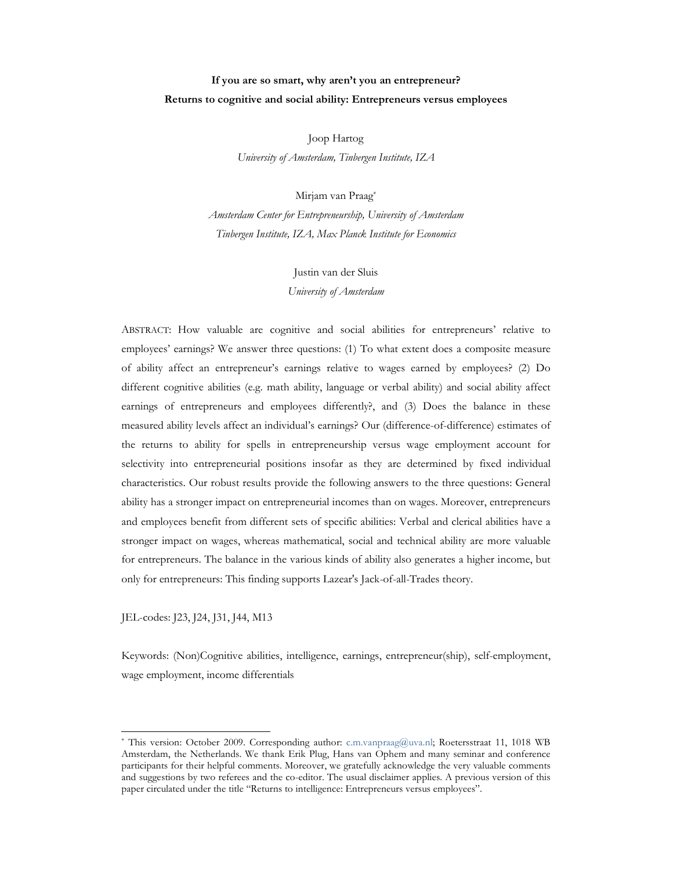# **If you are so smart, why aren't you an entrepreneur? Returns to cognitive and social ability: Entrepreneurs versus employees**

Joop Hartog *University of Amsterdam, Tinbergen Institute, IZA* 

Mirjam van Praag\*

*Amsterdam Center for Entrepreneurship, University of Amsterdam Tinbergen Institute, IZA, Max Planck Institute for Economics* 

> Justin van der Sluis *University of Amsterdam*

ABSTRACT: How valuable are cognitive and social abilities for entrepreneurs' relative to employees' earnings? We answer three questions: (1) To what extent does a composite measure of ability affect an entrepreneur's earnings relative to wages earned by employees? (2) Do different cognitive abilities (e.g. math ability, language or verbal ability) and social ability affect earnings of entrepreneurs and employees differently?, and (3) Does the balance in these measured ability levels affect an individual's earnings? Our (difference-of-difference) estimates of the returns to ability for spells in entrepreneurship versus wage employment account for selectivity into entrepreneurial positions insofar as they are determined by fixed individual characteristics. Our robust results provide the following answers to the three questions: General ability has a stronger impact on entrepreneurial incomes than on wages. Moreover, entrepreneurs and employees benefit from different sets of specific abilities: Verbal and clerical abilities have a stronger impact on wages, whereas mathematical, social and technical ability are more valuable for entrepreneurs. The balance in the various kinds of ability also generates a higher income, but only for entrepreneurs: This finding supports Lazear's Jack-of-all-Trades theory.

JEL-codes: J23, J24, J31, J44, M13

-

Keywords: (Non)Cognitive abilities, intelligence, earnings, entrepreneur(ship), self-employment, wage employment, income differentials

<sup>\*</sup> This version: October 2009. Corresponding author: c.m.vanpraag@uva.nl; Roetersstraat 11, 1018 WB Amsterdam, the Netherlands. We thank Erik Plug, Hans van Ophem and many seminar and conference participants for their helpful comments. Moreover, we gratefully acknowledge the very valuable comments and suggestions by two referees and the co-editor. The usual disclaimer applies. A previous version of this paper circulated under the title "Returns to intelligence: Entrepreneurs versus employees".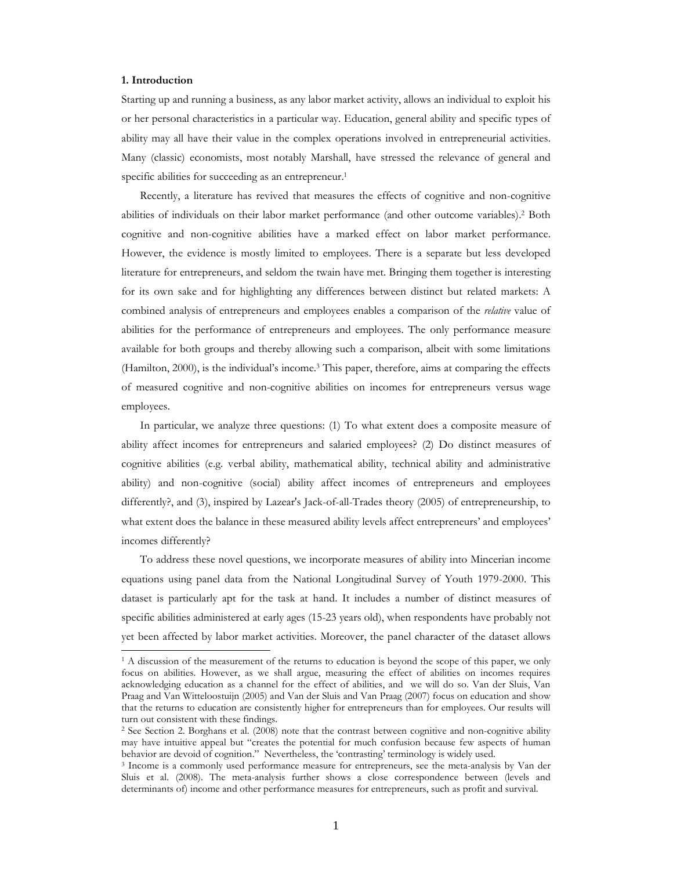# **1. Introduction**

-

Starting up and running a business, as any labor market activity, allows an individual to exploit his or her personal characteristics in a particular way. Education, general ability and specific types of ability may all have their value in the complex operations involved in entrepreneurial activities. Many (classic) economists, most notably Marshall, have stressed the relevance of general and specific abilities for succeeding as an entrepreneur.<sup>1</sup>

Recently, a literature has revived that measures the effects of cognitive and non-cognitive abilities of individuals on their labor market performance (and other outcome variables).2 Both cognitive and non-cognitive abilities have a marked effect on labor market performance. However, the evidence is mostly limited to employees. There is a separate but less developed literature for entrepreneurs, and seldom the twain have met. Bringing them together is interesting for its own sake and for highlighting any differences between distinct but related markets: A combined analysis of entrepreneurs and employees enables a comparison of the *relative* value of abilities for the performance of entrepreneurs and employees. The only performance measure available for both groups and thereby allowing such a comparison, albeit with some limitations (Hamilton, 2000), is the individual's income.<sup>3</sup> This paper, therefore, aims at comparing the effects of measured cognitive and non-cognitive abilities on incomes for entrepreneurs versus wage employees.

In particular, we analyze three questions: (1) To what extent does a composite measure of ability affect incomes for entrepreneurs and salaried employees? (2) Do distinct measures of cognitive abilities (e.g. verbal ability, mathematical ability, technical ability and administrative ability) and non-cognitive (social) ability affect incomes of entrepreneurs and employees differently?, and (3), inspired by Lazear's Jack-of-all-Trades theory (2005) of entrepreneurship, to what extent does the balance in these measured ability levels affect entrepreneurs' and employees' incomes differently?

To address these novel questions, we incorporate measures of ability into Mincerian income equations using panel data from the National Longitudinal Survey of Youth 1979-2000. This dataset is particularly apt for the task at hand. It includes a number of distinct measures of specific abilities administered at early ages (15-23 years old), when respondents have probably not yet been affected by labor market activities. Moreover, the panel character of the dataset allows

<sup>&</sup>lt;sup>1</sup> A discussion of the measurement of the returns to education is beyond the scope of this paper, we only focus on abilities. However, as we shall argue, measuring the effect of abilities on incomes requires acknowledging education as a channel for the effect of abilities, and we will do so. Van der Sluis, Van Praag and Van Witteloostuijn (2005) and Van der Sluis and Van Praag (2007) focus on education and show that the returns to education are consistently higher for entrepreneurs than for employees. Our results will turn out consistent with these findings.

<sup>2</sup> See Section 2. Borghans et al. (2008) note that the contrast between cognitive and non-cognitive ability may have intuitive appeal but "creates the potential for much confusion because few aspects of human behavior are devoid of cognition." Nevertheless, the 'contrasting' terminology is widely used.

<sup>3</sup> Income is a commonly used performance measure for entrepreneurs, see the meta-analysis by Van der Sluis et al. (2008). The meta-analysis further shows a close correspondence between (levels and determinants of) income and other performance measures for entrepreneurs, such as profit and survival.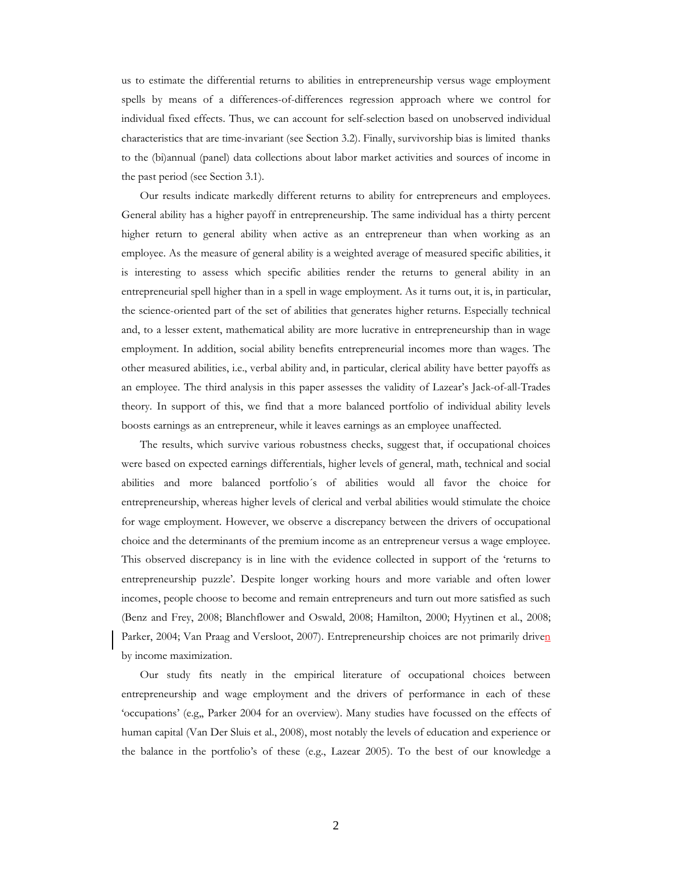us to estimate the differential returns to abilities in entrepreneurship versus wage employment spells by means of a differences-of-differences regression approach where we control for individual fixed effects. Thus, we can account for self-selection based on unobserved individual characteristics that are time-invariant (see Section 3.2). Finally, survivorship bias is limited thanks to the (bi)annual (panel) data collections about labor market activities and sources of income in the past period (see Section 3.1).

Our results indicate markedly different returns to ability for entrepreneurs and employees. General ability has a higher payoff in entrepreneurship. The same individual has a thirty percent higher return to general ability when active as an entrepreneur than when working as an employee. As the measure of general ability is a weighted average of measured specific abilities, it is interesting to assess which specific abilities render the returns to general ability in an entrepreneurial spell higher than in a spell in wage employment. As it turns out, it is, in particular, the science-oriented part of the set of abilities that generates higher returns. Especially technical and, to a lesser extent, mathematical ability are more lucrative in entrepreneurship than in wage employment. In addition, social ability benefits entrepreneurial incomes more than wages. The other measured abilities, i.e., verbal ability and, in particular, clerical ability have better payoffs as an employee. The third analysis in this paper assesses the validity of Lazear's Jack-of-all-Trades theory. In support of this, we find that a more balanced portfolio of individual ability levels boosts earnings as an entrepreneur, while it leaves earnings as an employee unaffected.

The results, which survive various robustness checks, suggest that, if occupational choices were based on expected earnings differentials, higher levels of general, math, technical and social abilities and more balanced portfolio´s of abilities would all favor the choice for entrepreneurship, whereas higher levels of clerical and verbal abilities would stimulate the choice for wage employment. However, we observe a discrepancy between the drivers of occupational choice and the determinants of the premium income as an entrepreneur versus a wage employee. This observed discrepancy is in line with the evidence collected in support of the 'returns to entrepreneurship puzzle'. Despite longer working hours and more variable and often lower incomes, people choose to become and remain entrepreneurs and turn out more satisfied as such (Benz and Frey, 2008; Blanchflower and Oswald, 2008; Hamilton, 2000; Hyytinen et al., 2008; Parker, 2004; Van Praag and Versloot, 2007). Entrepreneurship choices are not primarily driven by income maximization.

Our study fits neatly in the empirical literature of occupational choices between entrepreneurship and wage employment and the drivers of performance in each of these 'occupations' (e.g,, Parker 2004 for an overview). Many studies have focussed on the effects of human capital (Van Der Sluis et al., 2008), most notably the levels of education and experience or the balance in the portfolio's of these (e.g., Lazear 2005). To the best of our knowledge a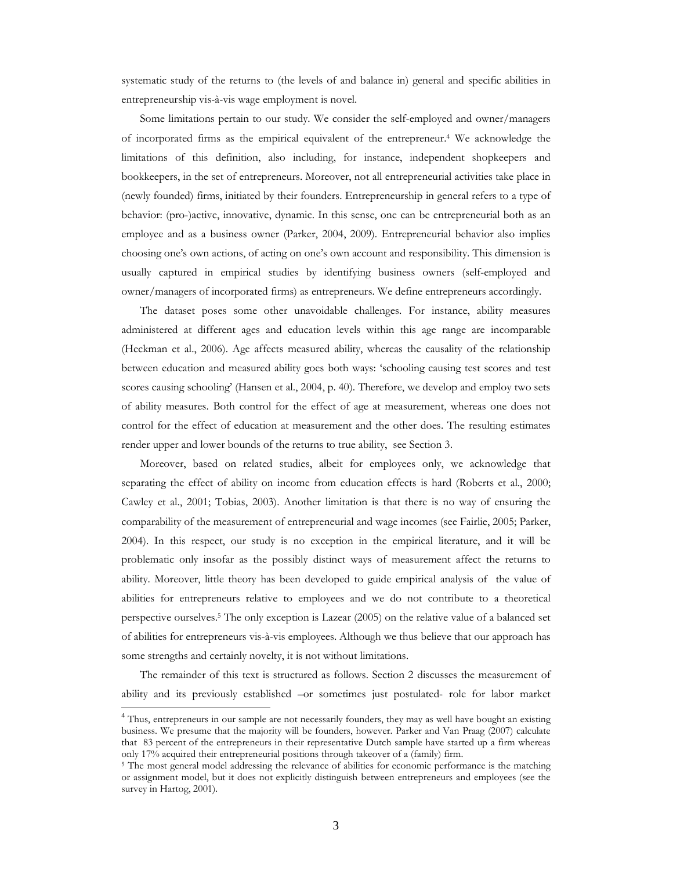systematic study of the returns to (the levels of and balance in) general and specific abilities in entrepreneurship vis-à-vis wage employment is novel.

Some limitations pertain to our study. We consider the self-employed and owner/managers of incorporated firms as the empirical equivalent of the entrepreneur.<sup>4</sup> We acknowledge the limitations of this definition, also including, for instance, independent shopkeepers and bookkeepers, in the set of entrepreneurs. Moreover, not all entrepreneurial activities take place in (newly founded) firms, initiated by their founders. Entrepreneurship in general refers to a type of behavior: (pro-)active, innovative, dynamic. In this sense, one can be entrepreneurial both as an employee and as a business owner (Parker, 2004, 2009). Entrepreneurial behavior also implies choosing one's own actions, of acting on one's own account and responsibility. This dimension is usually captured in empirical studies by identifying business owners (self-employed and owner/managers of incorporated firms) as entrepreneurs. We define entrepreneurs accordingly.

The dataset poses some other unavoidable challenges. For instance, ability measures administered at different ages and education levels within this age range are incomparable (Heckman et al., 2006). Age affects measured ability, whereas the causality of the relationship between education and measured ability goes both ways: 'schooling causing test scores and test scores causing schooling' (Hansen et al., 2004, p. 40). Therefore, we develop and employ two sets of ability measures. Both control for the effect of age at measurement, whereas one does not control for the effect of education at measurement and the other does. The resulting estimates render upper and lower bounds of the returns to true ability, see Section 3.

Moreover, based on related studies, albeit for employees only, we acknowledge that separating the effect of ability on income from education effects is hard (Roberts et al., 2000; Cawley et al., 2001; Tobias, 2003). Another limitation is that there is no way of ensuring the comparability of the measurement of entrepreneurial and wage incomes (see Fairlie, 2005; Parker, 2004). In this respect, our study is no exception in the empirical literature, and it will be problematic only insofar as the possibly distinct ways of measurement affect the returns to ability. Moreover, little theory has been developed to guide empirical analysis of the value of abilities for entrepreneurs relative to employees and we do not contribute to a theoretical perspective ourselves.5 The only exception is Lazear (2005) on the relative value of a balanced set of abilities for entrepreneurs vis-à-vis employees. Although we thus believe that our approach has some strengths and certainly novelty, it is not without limitations.

The remainder of this text is structured as follows. Section 2 discusses the measurement of ability and its previously established –or sometimes just postulated- role for labor market

-

<sup>&</sup>lt;sup>4</sup> Thus, entrepreneurs in our sample are not necessarily founders, they may as well have bought an existing business. We presume that the majority will be founders, however. Parker and Van Praag (2007) calculate that 83 percent of the entrepreneurs in their representative Dutch sample have started up a firm whereas only 17% acquired their entrepreneurial positions through takeover of a (family) firm.

<sup>&</sup>lt;sup>5</sup> The most general model addressing the relevance of abilities for economic performance is the matching or assignment model, but it does not explicitly distinguish between entrepreneurs and employees (see the survey in Hartog, 2001).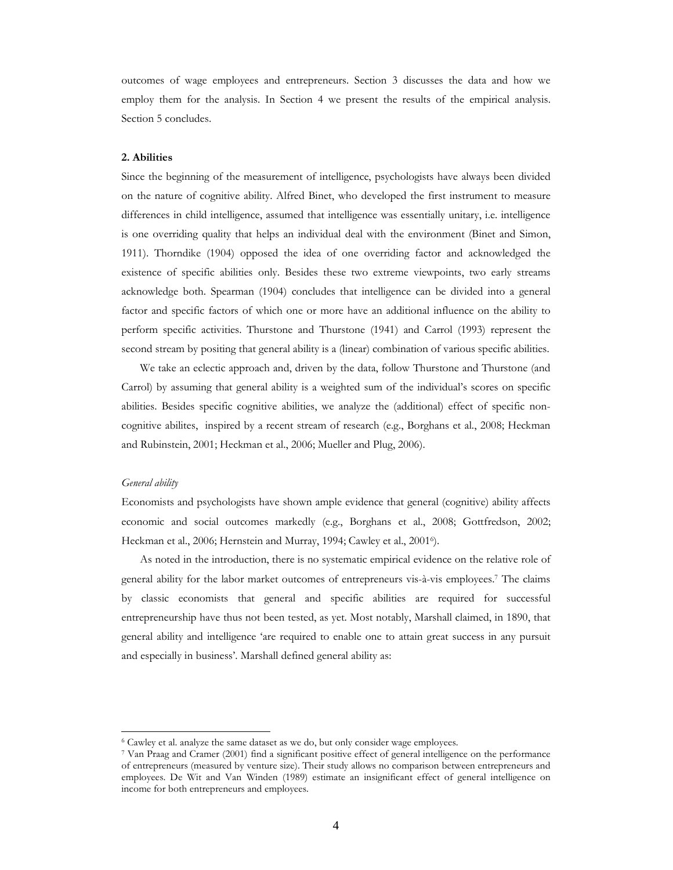outcomes of wage employees and entrepreneurs. Section 3 discusses the data and how we employ them for the analysis. In Section 4 we present the results of the empirical analysis. Section 5 concludes.

# **2. Abilities**

Since the beginning of the measurement of intelligence, psychologists have always been divided on the nature of cognitive ability. Alfred Binet, who developed the first instrument to measure differences in child intelligence, assumed that intelligence was essentially unitary, i.e. intelligence is one overriding quality that helps an individual deal with the environment (Binet and Simon, 1911). Thorndike (1904) opposed the idea of one overriding factor and acknowledged the existence of specific abilities only. Besides these two extreme viewpoints, two early streams acknowledge both. Spearman (1904) concludes that intelligence can be divided into a general factor and specific factors of which one or more have an additional influence on the ability to perform specific activities. Thurstone and Thurstone (1941) and Carrol (1993) represent the second stream by positing that general ability is a (linear) combination of various specific abilities.

 We take an eclectic approach and, driven by the data, follow Thurstone and Thurstone (and Carrol) by assuming that general ability is a weighted sum of the individual's scores on specific abilities. Besides specific cognitive abilities, we analyze the (additional) effect of specific noncognitive abilites, inspired by a recent stream of research (e.g., Borghans et al., 2008; Heckman and Rubinstein, 2001; Heckman et al., 2006; Mueller and Plug, 2006).

#### *General ability*

-

Economists and psychologists have shown ample evidence that general (cognitive) ability affects economic and social outcomes markedly (e.g., Borghans et al., 2008; Gottfredson, 2002; Heckman et al., 2006; Hernstein and Murray, 1994; Cawley et al., 2001<sup>6</sup>).

 As noted in the introduction, there is no systematic empirical evidence on the relative role of general ability for the labor market outcomes of entrepreneurs vis-à-vis employees.<sup>7</sup> The claims by classic economists that general and specific abilities are required for successful entrepreneurship have thus not been tested, as yet. Most notably, Marshall claimed, in 1890, that general ability and intelligence 'are required to enable one to attain great success in any pursuit and especially in business'. Marshall defined general ability as:

<sup>6</sup> Cawley et al. analyze the same dataset as we do, but only consider wage employees.

<sup>7</sup> Van Praag and Cramer (2001) find a significant positive effect of general intelligence on the performance of entrepreneurs (measured by venture size). Their study allows no comparison between entrepreneurs and employees. De Wit and Van Winden (1989) estimate an insignificant effect of general intelligence on income for both entrepreneurs and employees.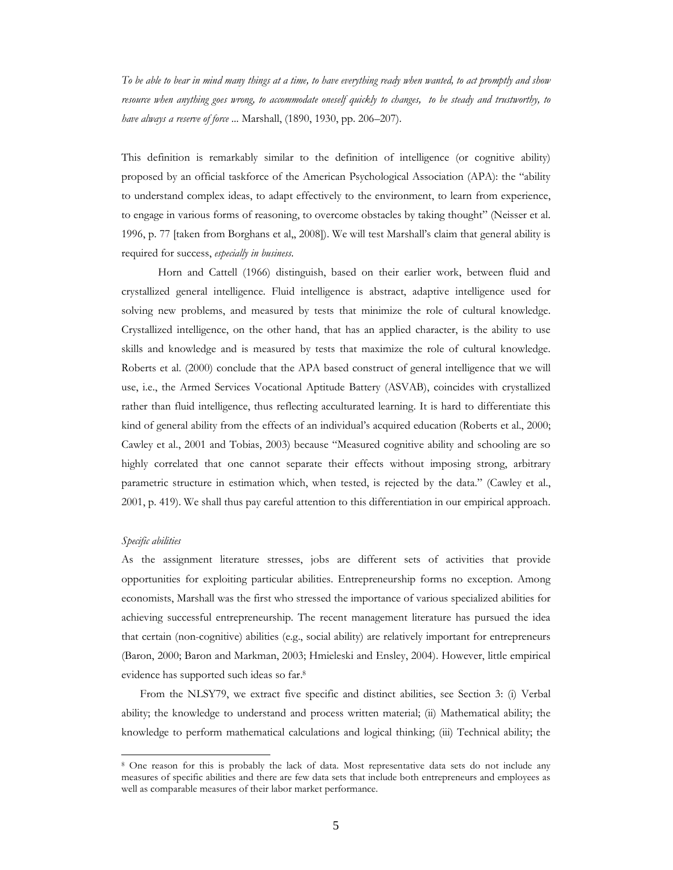*To be able to bear in mind many things at a time, to have everything ready when wanted, to act promptly and show resource when anything goes wrong, to accommodate oneself quickly to changes, to be steady and trustworthy, to have always a reserve of force ...* Marshall, (1890, 1930, pp. 206–207).

This definition is remarkably similar to the definition of intelligence (or cognitive ability) proposed by an official taskforce of the American Psychological Association (APA): the "ability to understand complex ideas, to adapt effectively to the environment, to learn from experience, to engage in various forms of reasoning, to overcome obstacles by taking thought" (Neisser et al. 1996, p. 77 [taken from Borghans et al,, 2008]). We will test Marshall's claim that general ability is required for success, *especially in business.* 

 Horn and Cattell (1966) distinguish, based on their earlier work, between fluid and crystallized general intelligence. Fluid intelligence is abstract, adaptive intelligence used for solving new problems, and measured by tests that minimize the role of cultural knowledge. Crystallized intelligence, on the other hand, that has an applied character, is the ability to use skills and knowledge and is measured by tests that maximize the role of cultural knowledge. Roberts et al. (2000) conclude that the APA based construct of general intelligence that we will use, i.e., the Armed Services Vocational Aptitude Battery (ASVAB), coincides with crystallized rather than fluid intelligence, thus reflecting acculturated learning. It is hard to differentiate this kind of general ability from the effects of an individual's acquired education (Roberts et al., 2000; Cawley et al., 2001 and Tobias, 2003) because "Measured cognitive ability and schooling are so highly correlated that one cannot separate their effects without imposing strong, arbitrary parametric structure in estimation which, when tested, is rejected by the data." (Cawley et al., 2001, p. 419). We shall thus pay careful attention to this differentiation in our empirical approach.

#### *Specific abilities*

÷,

As the assignment literature stresses, jobs are different sets of activities that provide opportunities for exploiting particular abilities. Entrepreneurship forms no exception. Among economists, Marshall was the first who stressed the importance of various specialized abilities for achieving successful entrepreneurship. The recent management literature has pursued the idea that certain (non-cognitive) abilities (e.g., social ability) are relatively important for entrepreneurs (Baron, 2000; Baron and Markman, 2003; Hmieleski and Ensley, 2004). However, little empirical evidence has supported such ideas so far.<sup>8</sup>

 From the NLSY79, we extract five specific and distinct abilities, see Section 3: (i) Verbal ability; the knowledge to understand and process written material; (ii) Mathematical ability; the knowledge to perform mathematical calculations and logical thinking; (iii) Technical ability; the

<sup>&</sup>lt;sup>8</sup> One reason for this is probably the lack of data. Most representative data sets do not include any measures of specific abilities and there are few data sets that include both entrepreneurs and employees as well as comparable measures of their labor market performance.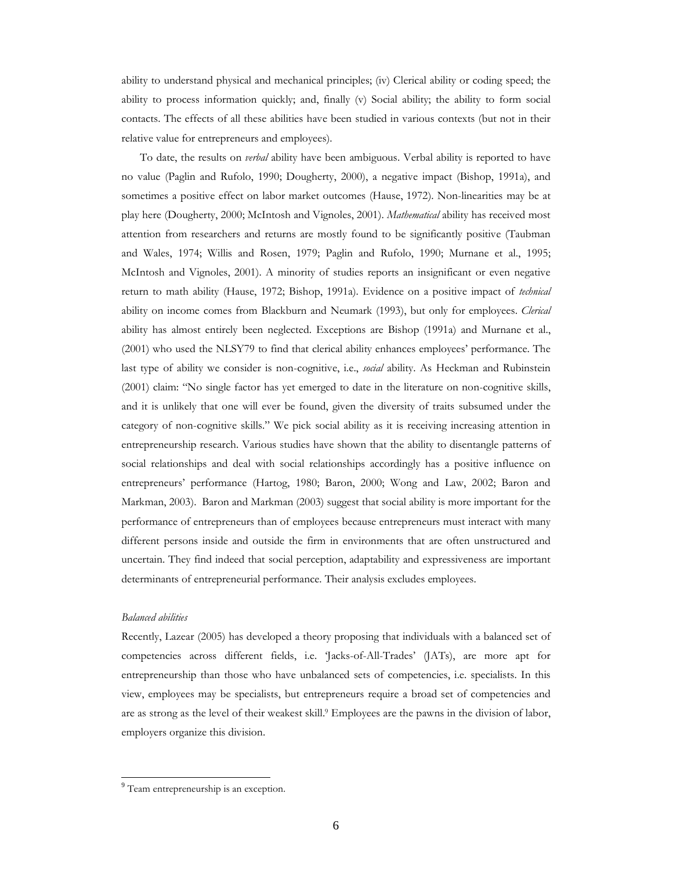ability to understand physical and mechanical principles; (iv) Clerical ability or coding speed; the ability to process information quickly; and, finally (v) Social ability; the ability to form social contacts. The effects of all these abilities have been studied in various contexts (but not in their relative value for entrepreneurs and employees).

To date, the results on *verbal* ability have been ambiguous. Verbal ability is reported to have no value (Paglin and Rufolo, 1990; Dougherty, 2000), a negative impact (Bishop, 1991a), and sometimes a positive effect on labor market outcomes (Hause, 1972). Non-linearities may be at play here (Dougherty, 2000; McIntosh and Vignoles, 2001). *Mathematical* ability has received most attention from researchers and returns are mostly found to be significantly positive (Taubman and Wales, 1974; Willis and Rosen, 1979; Paglin and Rufolo, 1990; Murnane et al., 1995; McIntosh and Vignoles, 2001). A minority of studies reports an insignificant or even negative return to math ability (Hause, 1972; Bishop, 1991a). Evidence on a positive impact of *technical*  ability on income comes from Blackburn and Neumark (1993), but only for employees. *Clerical* ability has almost entirely been neglected. Exceptions are Bishop (1991a) and Murnane et al., (2001) who used the NLSY79 to find that clerical ability enhances employees' performance. The last type of ability we consider is non-cognitive, i.e., *social* ability. As Heckman and Rubinstein (2001) claim: "No single factor has yet emerged to date in the literature on non-cognitive skills, and it is unlikely that one will ever be found, given the diversity of traits subsumed under the category of non-cognitive skills." We pick social ability as it is receiving increasing attention in entrepreneurship research. Various studies have shown that the ability to disentangle patterns of social relationships and deal with social relationships accordingly has a positive influence on entrepreneurs' performance (Hartog, 1980; Baron, 2000; Wong and Law, 2002; Baron and Markman, 2003). Baron and Markman (2003) suggest that social ability is more important for the performance of entrepreneurs than of employees because entrepreneurs must interact with many different persons inside and outside the firm in environments that are often unstructured and uncertain. They find indeed that social perception, adaptability and expressiveness are important determinants of entrepreneurial performance. Their analysis excludes employees.

# *Balanced abilities*

÷,

Recently, Lazear (2005) has developed a theory proposing that individuals with a balanced set of competencies across different fields, i.e. 'Jacks-of-All-Trades' (JATs), are more apt for entrepreneurship than those who have unbalanced sets of competencies, i.e. specialists. In this view, employees may be specialists, but entrepreneurs require a broad set of competencies and are as strong as the level of their weakest skill.<sup>9</sup> Employees are the pawns in the division of labor, employers organize this division.

<sup>&</sup>lt;sup>9</sup> Team entrepreneurship is an exception.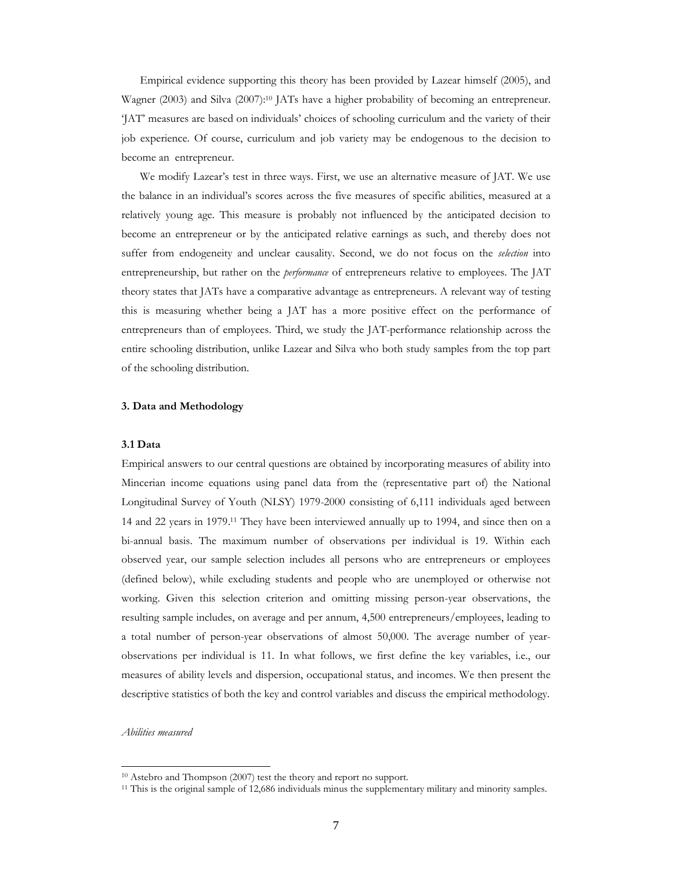Empirical evidence supporting this theory has been provided by Lazear himself (2005), and Wagner (2003) and Silva (2007):10 JATs have a higher probability of becoming an entrepreneur. 'JAT' measures are based on individuals' choices of schooling curriculum and the variety of their job experience. Of course, curriculum and job variety may be endogenous to the decision to become an entrepreneur.

 We modify Lazear's test in three ways. First, we use an alternative measure of JAT. We use the balance in an individual's scores across the five measures of specific abilities, measured at a relatively young age. This measure is probably not influenced by the anticipated decision to become an entrepreneur or by the anticipated relative earnings as such, and thereby does not suffer from endogeneity and unclear causality. Second, we do not focus on the *selection* into entrepreneurship, but rather on the *performance* of entrepreneurs relative to employees. The JAT theory states that JATs have a comparative advantage as entrepreneurs. A relevant way of testing this is measuring whether being a JAT has a more positive effect on the performance of entrepreneurs than of employees. Third, we study the JAT-performance relationship across the entire schooling distribution, unlike Lazear and Silva who both study samples from the top part of the schooling distribution.

# **3. Data and Methodology**

# **3.1 Data**

Empirical answers to our central questions are obtained by incorporating measures of ability into Mincerian income equations using panel data from the (representative part of) the National Longitudinal Survey of Youth (NLSY) 1979-2000 consisting of 6,111 individuals aged between 14 and 22 years in 1979.11 They have been interviewed annually up to 1994, and since then on a bi-annual basis. The maximum number of observations per individual is 19. Within each observed year, our sample selection includes all persons who are entrepreneurs or employees (defined below), while excluding students and people who are unemployed or otherwise not working. Given this selection criterion and omitting missing person-year observations, the resulting sample includes, on average and per annum, 4,500 entrepreneurs/employees, leading to a total number of person-year observations of almost 50,000. The average number of yearobservations per individual is 11. In what follows, we first define the key variables, i.e., our measures of ability levels and dispersion, occupational status, and incomes. We then present the descriptive statistics of both the key and control variables and discuss the empirical methodology.

*Abilities measured* 

-

<sup>10</sup> Astebro and Thompson (2007) test the theory and report no support.

<sup>&</sup>lt;sup>11</sup> This is the original sample of 12,686 individuals minus the supplementary military and minority samples.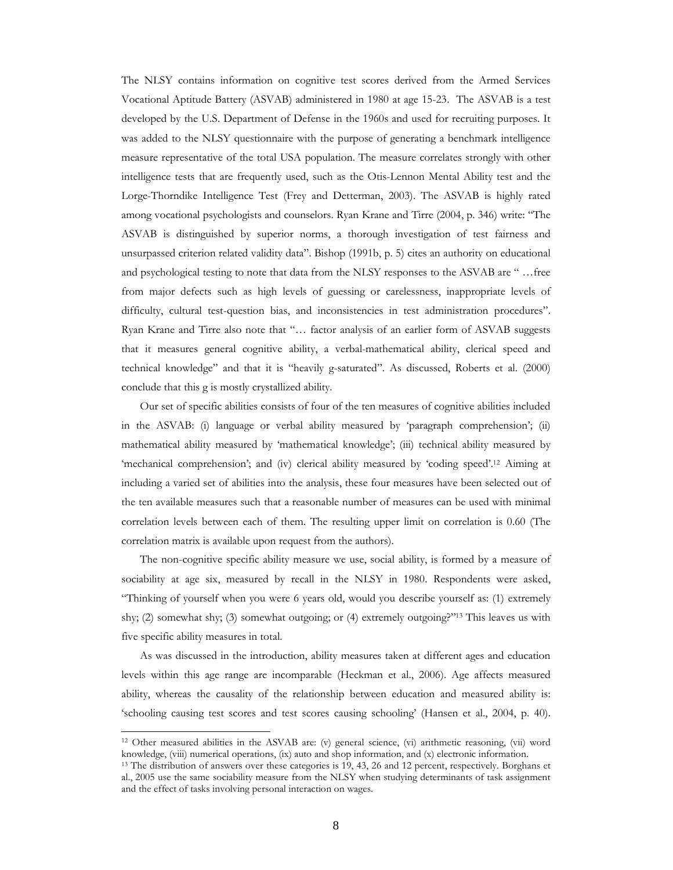The NLSY contains information on cognitive test scores derived from the Armed Services Vocational Aptitude Battery (ASVAB) administered in 1980 at age 15-23. The ASVAB is a test developed by the U.S. Department of Defense in the 1960s and used for recruiting purposes. It was added to the NLSY questionnaire with the purpose of generating a benchmark intelligence measure representative of the total USA population. The measure correlates strongly with other intelligence tests that are frequently used, such as the Otis-Lennon Mental Ability test and the Lorge-Thorndike Intelligence Test (Frey and Detterman, 2003). The ASVAB is highly rated among vocational psychologists and counselors. Ryan Krane and Tirre (2004, p. 346) write: "The ASVAB is distinguished by superior norms, a thorough investigation of test fairness and unsurpassed criterion related validity data". Bishop (1991b, p. 5) cites an authority on educational and psychological testing to note that data from the NLSY responses to the ASVAB are " …free from major defects such as high levels of guessing or carelessness, inappropriate levels of difficulty, cultural test-question bias, and inconsistencies in test administration procedures". Ryan Krane and Tirre also note that "… factor analysis of an earlier form of ASVAB suggests that it measures general cognitive ability, a verbal-mathematical ability, clerical speed and technical knowledge" and that it is "heavily g-saturated". As discussed, Roberts et al. (2000) conclude that this g is mostly crystallized ability.

 Our set of specific abilities consists of four of the ten measures of cognitive abilities included in the ASVAB: (i) language or verbal ability measured by 'paragraph comprehension'; (ii) mathematical ability measured by 'mathematical knowledge'; (iii) technical ability measured by 'mechanical comprehension'; and (iv) clerical ability measured by 'coding speed'.12 Aiming at including a varied set of abilities into the analysis, these four measures have been selected out of the ten available measures such that a reasonable number of measures can be used with minimal correlation levels between each of them. The resulting upper limit on correlation is 0.60 (The correlation matrix is available upon request from the authors).

 The non-cognitive specific ability measure we use, social ability, is formed by a measure of sociability at age six, measured by recall in the NLSY in 1980. Respondents were asked, "Thinking of yourself when you were 6 years old, would you describe yourself as: (1) extremely shy; (2) somewhat shy; (3) somewhat outgoing; or (4) extremely outgoing?"13 This leaves us with five specific ability measures in total.

 As was discussed in the introduction, ability measures taken at different ages and education levels within this age range are incomparable (Heckman et al., 2006). Age affects measured ability, whereas the causality of the relationship between education and measured ability is: 'schooling causing test scores and test scores causing schooling' (Hansen et al., 2004, p. 40).

-

<sup>12</sup> Other measured abilities in the ASVAB are: (v) general science, (vi) arithmetic reasoning, (vii) word knowledge, (viii) numerical operations, (ix) auto and shop information, and (x) electronic information.

<sup>&</sup>lt;sup>13</sup> The distribution of answers over these categories is 19, 43, 26 and 12 percent, respectively. Borghans et al., 2005 use the same sociability measure from the NLSY when studying determinants of task assignment and the effect of tasks involving personal interaction on wages.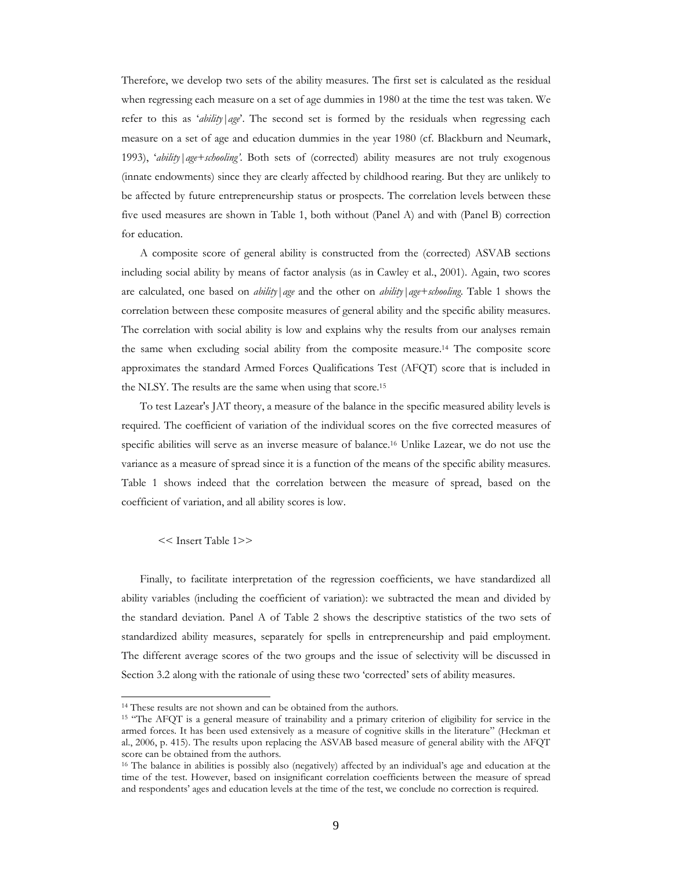Therefore, we develop two sets of the ability measures. The first set is calculated as the residual when regressing each measure on a set of age dummies in 1980 at the time the test was taken. We refer to this as '*ability|age*'. The second set is formed by the residuals when regressing each measure on a set of age and education dummies in the year 1980 (cf. Blackburn and Neumark, 1993), '*ability|age+schooling'*. Both sets of (corrected) ability measures are not truly exogenous (innate endowments) since they are clearly affected by childhood rearing. But they are unlikely to be affected by future entrepreneurship status or prospects. The correlation levels between these five used measures are shown in Table 1, both without (Panel A) and with (Panel B) correction for education.

 A composite score of general ability is constructed from the (corrected) ASVAB sections including social ability by means of factor analysis (as in Cawley et al., 2001). Again, two scores are calculated, one based on *ability|age* and the other on *ability|age+schooling*. Table 1 shows the correlation between these composite measures of general ability and the specific ability measures. The correlation with social ability is low and explains why the results from our analyses remain the same when excluding social ability from the composite measure.14 The composite score approximates the standard Armed Forces Qualifications Test (AFQT) score that is included in the NLSY. The results are the same when using that score.<sup>15</sup>

To test Lazear's JAT theory, a measure of the balance in the specific measured ability levels is required. The coefficient of variation of the individual scores on the five corrected measures of specific abilities will serve as an inverse measure of balance.16 Unlike Lazear, we do not use the variance as a measure of spread since it is a function of the means of the specific ability measures. Table 1 shows indeed that the correlation between the measure of spread, based on the coefficient of variation, and all ability scores is low.

# << Insert Table 1>>

÷,

Finally, to facilitate interpretation of the regression coefficients, we have standardized all ability variables (including the coefficient of variation): we subtracted the mean and divided by the standard deviation. Panel A of Table 2 shows the descriptive statistics of the two sets of standardized ability measures, separately for spells in entrepreneurship and paid employment. The different average scores of the two groups and the issue of selectivity will be discussed in Section 3.2 along with the rationale of using these two 'corrected' sets of ability measures.

<sup>14</sup> These results are not shown and can be obtained from the authors.

<sup>15</sup> "The AFQT is a general measure of trainability and a primary criterion of eligibility for service in the armed forces. It has been used extensively as a measure of cognitive skills in the literature" (Heckman et al., 2006, p. 415). The results upon replacing the ASVAB based measure of general ability with the AFQT score can be obtained from the authors.

<sup>&</sup>lt;sup>16</sup> The balance in abilities is possibly also (negatively) affected by an individual's age and education at the time of the test. However, based on insignificant correlation coefficients between the measure of spread and respondents' ages and education levels at the time of the test, we conclude no correction is required.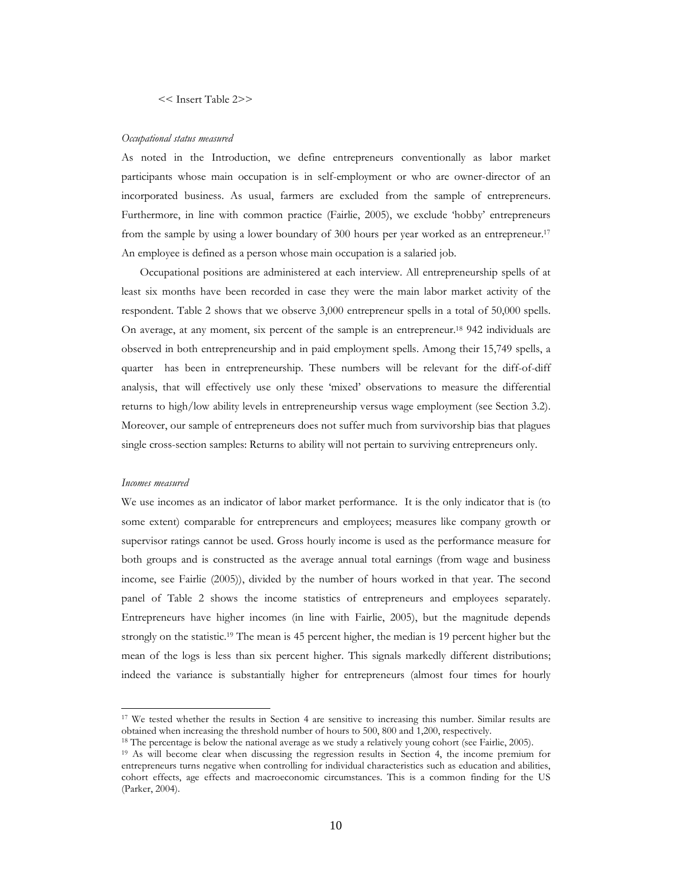# << Insert Table 2>>

#### *Occupational status measured*

As noted in the Introduction, we define entrepreneurs conventionally as labor market participants whose main occupation is in self-employment or who are owner-director of an incorporated business. As usual, farmers are excluded from the sample of entrepreneurs. Furthermore, in line with common practice (Fairlie, 2005), we exclude 'hobby' entrepreneurs from the sample by using a lower boundary of 300 hours per year worked as an entrepreneur.<sup>17</sup> An employee is defined as a person whose main occupation is a salaried job.

Occupational positions are administered at each interview. All entrepreneurship spells of at least six months have been recorded in case they were the main labor market activity of the respondent. Table 2 shows that we observe 3,000 entrepreneur spells in a total of 50,000 spells. On average, at any moment, six percent of the sample is an entrepreneur.18 942 individuals are observed in both entrepreneurship and in paid employment spells. Among their 15,749 spells, a quarter has been in entrepreneurship. These numbers will be relevant for the diff-of-diff analysis, that will effectively use only these 'mixed' observations to measure the differential returns to high/low ability levels in entrepreneurship versus wage employment (see Section 3.2). Moreover, our sample of entrepreneurs does not suffer much from survivorship bias that plagues single cross-section samples: Returns to ability will not pertain to surviving entrepreneurs only.

# *Incomes measured*

-

We use incomes as an indicator of labor market performance. It is the only indicator that is (to some extent) comparable for entrepreneurs and employees; measures like company growth or supervisor ratings cannot be used. Gross hourly income is used as the performance measure for both groups and is constructed as the average annual total earnings (from wage and business income, see Fairlie (2005)), divided by the number of hours worked in that year. The second panel of Table 2 shows the income statistics of entrepreneurs and employees separately. Entrepreneurs have higher incomes (in line with Fairlie, 2005), but the magnitude depends strongly on the statistic.19 The mean is 45 percent higher, the median is 19 percent higher but the mean of the logs is less than six percent higher. This signals markedly different distributions; indeed the variance is substantially higher for entrepreneurs (almost four times for hourly

<sup>&</sup>lt;sup>17</sup> We tested whether the results in Section 4 are sensitive to increasing this number. Similar results are obtained when increasing the threshold number of hours to 500, 800 and 1,200, respectively.

<sup>&</sup>lt;sup>18</sup> The percentage is below the national average as we study a relatively young cohort (see Fairlie, 2005).

<sup>&</sup>lt;sup>19</sup> As will become clear when discussing the regression results in Section 4, the income premium for entrepreneurs turns negative when controlling for individual characteristics such as education and abilities, cohort effects, age effects and macroeconomic circumstances. This is a common finding for the US (Parker, 2004).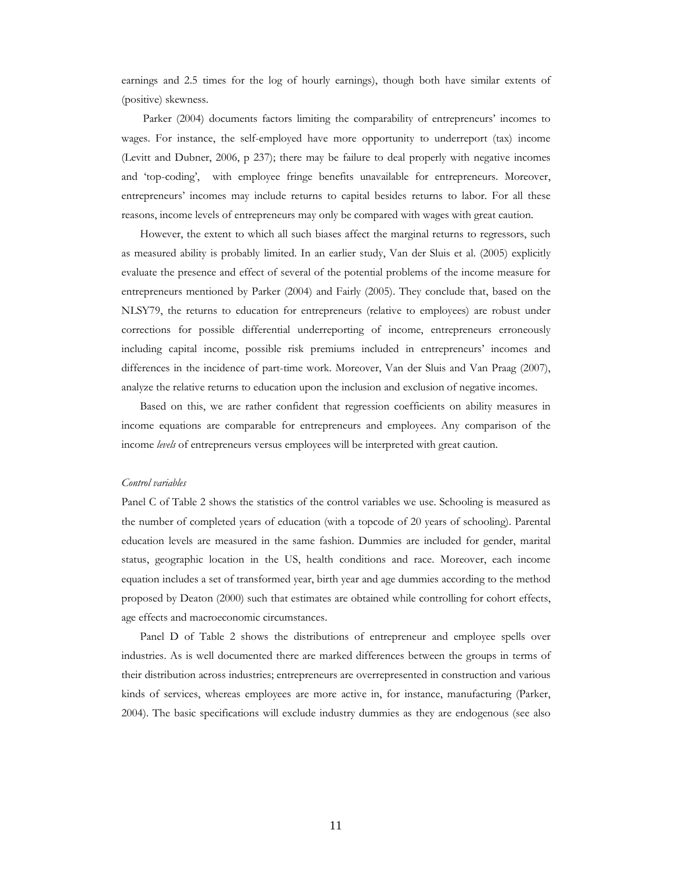earnings and 2.5 times for the log of hourly earnings), though both have similar extents of (positive) skewness.

 Parker (2004) documents factors limiting the comparability of entrepreneurs' incomes to wages. For instance, the self-employed have more opportunity to underreport (tax) income (Levitt and Dubner, 2006, p 237); there may be failure to deal properly with negative incomes and 'top-coding', with employee fringe benefits unavailable for entrepreneurs. Moreover, entrepreneurs' incomes may include returns to capital besides returns to labor. For all these reasons, income levels of entrepreneurs may only be compared with wages with great caution.

 However, the extent to which all such biases affect the marginal returns to regressors, such as measured ability is probably limited. In an earlier study, Van der Sluis et al. (2005) explicitly evaluate the presence and effect of several of the potential problems of the income measure for entrepreneurs mentioned by Parker (2004) and Fairly (2005). They conclude that, based on the NLSY79, the returns to education for entrepreneurs (relative to employees) are robust under corrections for possible differential underreporting of income, entrepreneurs erroneously including capital income, possible risk premiums included in entrepreneurs' incomes and differences in the incidence of part-time work. Moreover, Van der Sluis and Van Praag (2007), analyze the relative returns to education upon the inclusion and exclusion of negative incomes.

 Based on this, we are rather confident that regression coefficients on ability measures in income equations are comparable for entrepreneurs and employees. Any comparison of the income *levels* of entrepreneurs versus employees will be interpreted with great caution.

# *Control variables*

Panel C of Table 2 shows the statistics of the control variables we use. Schooling is measured as the number of completed years of education (with a topcode of 20 years of schooling). Parental education levels are measured in the same fashion. Dummies are included for gender, marital status, geographic location in the US, health conditions and race. Moreover, each income equation includes a set of transformed year, birth year and age dummies according to the method proposed by Deaton (2000) such that estimates are obtained while controlling for cohort effects, age effects and macroeconomic circumstances.

 Panel D of Table 2 shows the distributions of entrepreneur and employee spells over industries. As is well documented there are marked differences between the groups in terms of their distribution across industries; entrepreneurs are overrepresented in construction and various kinds of services, whereas employees are more active in, for instance, manufacturing (Parker, 2004). The basic specifications will exclude industry dummies as they are endogenous (see also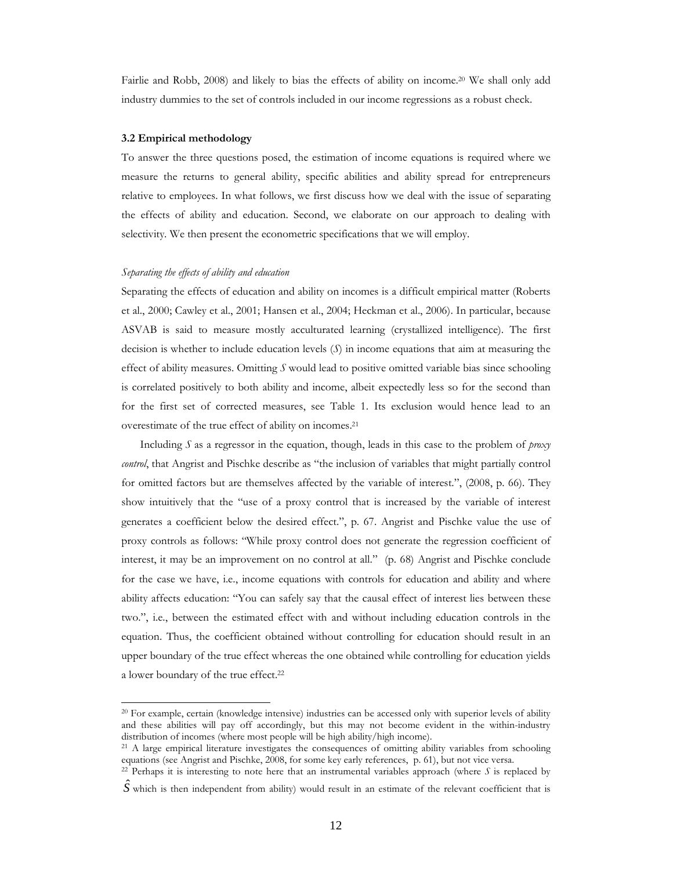Fairlie and Robb, 2008) and likely to bias the effects of ability on income.<sup>20</sup> We shall only add industry dummies to the set of controls included in our income regressions as a robust check.

# **3.2 Empirical methodology**

To answer the three questions posed, the estimation of income equations is required where we measure the returns to general ability, specific abilities and ability spread for entrepreneurs relative to employees. In what follows, we first discuss how we deal with the issue of separating the effects of ability and education. Second, we elaborate on our approach to dealing with selectivity. We then present the econometric specifications that we will employ.

# *Separating the effects of ability and education*

-

Separating the effects of education and ability on incomes is a difficult empirical matter (Roberts et al., 2000; Cawley et al., 2001; Hansen et al., 2004; Heckman et al., 2006). In particular, because ASVAB is said to measure mostly acculturated learning (crystallized intelligence). The first decision is whether to include education levels (*S*) in income equations that aim at measuring the effect of ability measures. Omitting *S* would lead to positive omitted variable bias since schooling is correlated positively to both ability and income, albeit expectedly less so for the second than for the first set of corrected measures, see Table 1. Its exclusion would hence lead to an overestimate of the true effect of ability on incomes.<sup>21</sup>

 Including *S* as a regressor in the equation, though, leads in this case to the problem of *proxy control*, that Angrist and Pischke describe as "the inclusion of variables that might partially control for omitted factors but are themselves affected by the variable of interest.", (2008, p. 66). They show intuitively that the "use of a proxy control that is increased by the variable of interest generates a coefficient below the desired effect.", p. 67. Angrist and Pischke value the use of proxy controls as follows: "While proxy control does not generate the regression coefficient of interest, it may be an improvement on no control at all." (p. 68) Angrist and Pischke conclude for the case we have, i.e., income equations with controls for education and ability and where ability affects education: "You can safely say that the causal effect of interest lies between these two.", i.e., between the estimated effect with and without including education controls in the equation. Thus, the coefficient obtained without controlling for education should result in an upper boundary of the true effect whereas the one obtained while controlling for education yields a lower boundary of the true effect.<sup>22</sup>

<sup>20</sup> For example, certain (knowledge intensive) industries can be accessed only with superior levels of ability and these abilities will pay off accordingly, but this may not become evident in the within-industry distribution of incomes (where most people will be high ability/high income).

<sup>&</sup>lt;sup>21</sup> A large empirical literature investigates the consequences of omitting ability variables from schooling equations (see Angrist and Pischke, 2008, for some key early references, p. 61), but not vice versa.

<sup>&</sup>lt;sup>22</sup> Perhaps it is interesting to note here that an instrumental variables approach (where  $S$  is replaced by

 $\hat{S}$  which is then independent from ability) would result in an estimate of the relevant coefficient that is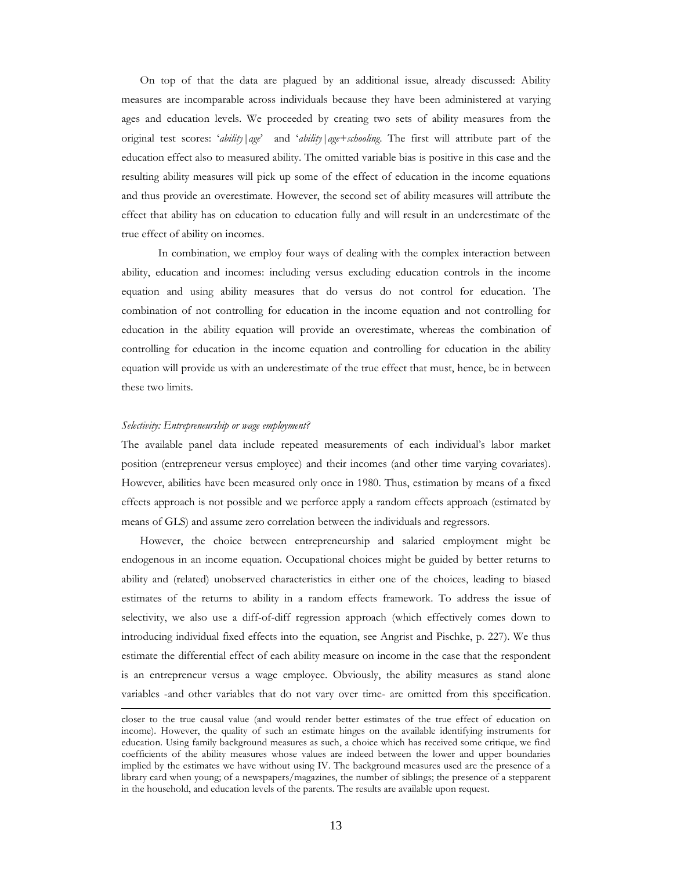On top of that the data are plagued by an additional issue, already discussed: Ability measures are incomparable across individuals because they have been administered at varying ages and education levels. We proceeded by creating two sets of ability measures from the original test scores: '*ability|age*' and '*ability|age+schooling*. The first will attribute part of the education effect also to measured ability. The omitted variable bias is positive in this case and the resulting ability measures will pick up some of the effect of education in the income equations and thus provide an overestimate. However, the second set of ability measures will attribute the effect that ability has on education to education fully and will result in an underestimate of the true effect of ability on incomes.

 In combination, we employ four ways of dealing with the complex interaction between ability, education and incomes: including versus excluding education controls in the income equation and using ability measures that do versus do not control for education. The combination of not controlling for education in the income equation and not controlling for education in the ability equation will provide an overestimate, whereas the combination of controlling for education in the income equation and controlling for education in the ability equation will provide us with an underestimate of the true effect that must, hence, be in between these two limits.

# *Selectivity: Entrepreneurship or wage employment?*

-

The available panel data include repeated measurements of each individual's labor market position (entrepreneur versus employee) and their incomes (and other time varying covariates). However, abilities have been measured only once in 1980. Thus, estimation by means of a fixed effects approach is not possible and we perforce apply a random effects approach (estimated by means of GLS) and assume zero correlation between the individuals and regressors.

 However, the choice between entrepreneurship and salaried employment might be endogenous in an income equation. Occupational choices might be guided by better returns to ability and (related) unobserved characteristics in either one of the choices, leading to biased estimates of the returns to ability in a random effects framework. To address the issue of selectivity, we also use a diff-of-diff regression approach (which effectively comes down to introducing individual fixed effects into the equation, see Angrist and Pischke, p. 227). We thus estimate the differential effect of each ability measure on income in the case that the respondent is an entrepreneur versus a wage employee. Obviously, the ability measures as stand alone variables -and other variables that do not vary over time- are omitted from this specification.

closer to the true causal value (and would render better estimates of the true effect of education on income). However, the quality of such an estimate hinges on the available identifying instruments for education. Using family background measures as such, a choice which has received some critique, we find coefficients of the ability measures whose values are indeed between the lower and upper boundaries implied by the estimates we have without using IV. The background measures used are the presence of a library card when young; of a newspapers/magazines, the number of siblings; the presence of a stepparent in the household, and education levels of the parents. The results are available upon request.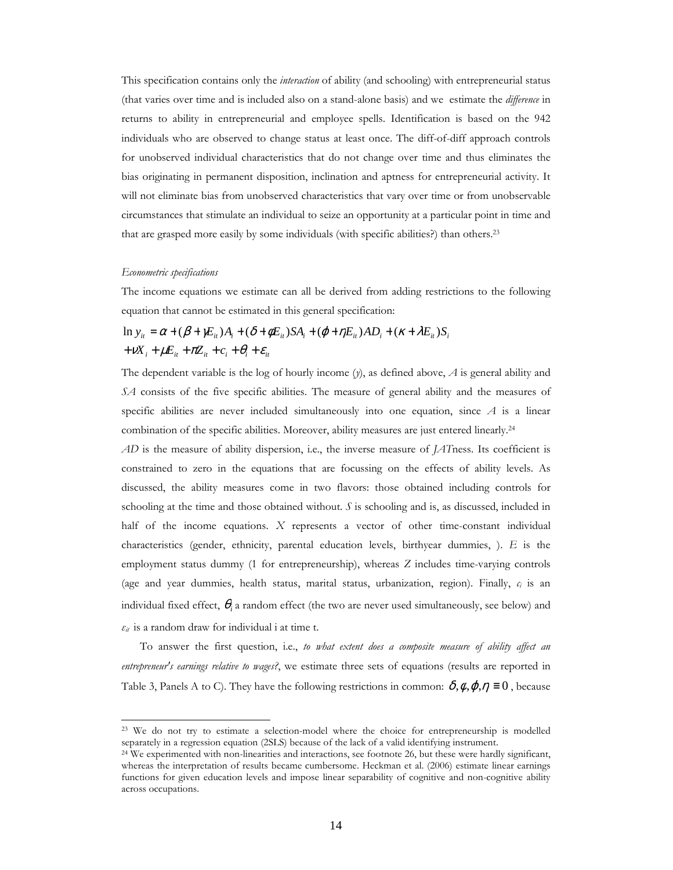This specification contains only the *interaction* of ability (and schooling) with entrepreneurial status (that varies over time and is included also on a stand-alone basis) and we estimate the *difference* in returns to ability in entrepreneurial and employee spells. Identification is based on the 942 individuals who are observed to change status at least once. The diff-of-diff approach controls for unobserved individual characteristics that do not change over time and thus eliminates the bias originating in permanent disposition, inclination and aptness for entrepreneurial activity. It will not eliminate bias from unobserved characteristics that vary over time or from unobservable circumstances that stimulate an individual to seize an opportunity at a particular point in time and that are grasped more easily by some individuals (with specific abilities?) than others.<sup>23</sup>

#### *Econometric specifications*

-

The income equations we estimate can all be derived from adding restrictions to the following equation that cannot be estimated in this general specification:

$$
\ln y_{ii} = \alpha + (\beta + \gamma E_{ii})A_i + (\delta + \phi E_{ii})SA_i + (\varphi + \eta E_{ii})AD_i + (k + \lambda E_{ii})S_i
$$
  
+  $\gamma X_i + \mu E_{ii} + \pi Z_{ii} + c_i + \theta_i + \varepsilon_{ii}$ 

The dependent variable is the log of hourly income (*y*), as defined above, *A* is general ability and *SA* consists of the five specific abilities. The measure of general ability and the measures of specific abilities are never included simultaneously into one equation, since  $A$  is a linear combination of the specific abilities. Moreover, ability measures are just entered linearly.<sup>24</sup>

*AD* is the measure of ability dispersion, i.e., the inverse measure of *JAT*ness. Its coefficient is constrained to zero in the equations that are focussing on the effects of ability levels. As discussed, the ability measures come in two flavors: those obtained including controls for schooling at the time and those obtained without.  $S$  is schooling and is, as discussed, included in half of the income equations. *X* represents a vector of other time-constant individual characteristics (gender, ethnicity, parental education levels, birthyear dummies, ). *E* is the employment status dummy (1 for entrepreneurship), whereas *Z* includes time-varying controls (age and year dummies, health status, marital status, urbanization, region). Finally, *ci* is an individual fixed effect,  $\theta$ <sub>i</sub> a random effect (the two are never used simultaneously, see below) and *εit* is a random draw for individual i at time t.

 To answer the first question, i.e., *to what extent does a composite measure of ability affect an entrepreneur's earnings relative to wages?*, we estimate three sets of equations (results are reported in Table 3, Panels A to C). They have the following restrictions in common:  $\delta, \phi, \varphi, \eta \equiv 0$ , because

<sup>&</sup>lt;sup>23</sup> We do not try to estimate a selection-model where the choice for entrepreneurship is modelled separately in a regression equation (2SLS) because of the lack of a valid identifying instrument.

<sup>24</sup> We experimented with non-linearities and interactions, see footnote 26, but these were hardly significant, whereas the interpretation of results became cumbersome. Heckman et al. (2006) estimate linear earnings functions for given education levels and impose linear separability of cognitive and non-cognitive ability across occupations.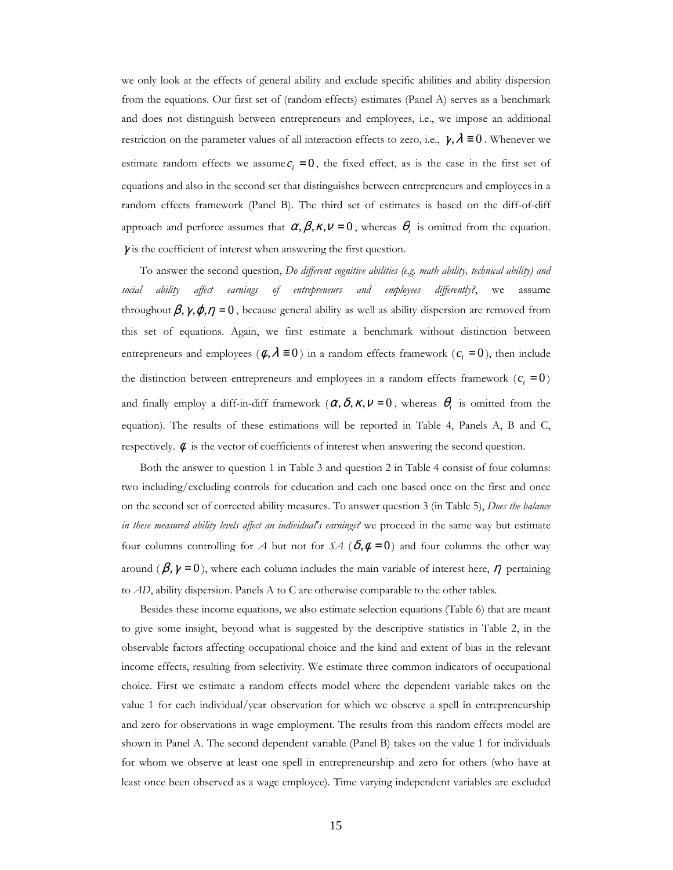we only look at the effects of general ability and exclude specific abilities and ability dispersion from the equations. Our first set of (random effects) estimates (Panel A) serves as a benchmark and does not distinguish between entrepreneurs and employees, i.e., we impose an additional restriction on the parameter values of all interaction effects to zero, i.e.,  $\gamma$ ,  $\lambda \equiv 0$ . Whenever we estimate random effects we assume  $c_i = 0$ , the fixed effect, as is the case in the first set of equations and also in the second set that distinguishes between entrepreneurs and employees in a random effects framework (Panel B). The third set of estimates is based on the diff-of-diff approach and perforce assumes that  $\alpha, \beta, \kappa, \nu = 0$ , whereas  $\theta_i$  is omitted from the equation.  $\gamma$  is the coefficient of interest when answering the first question.

 To answer the second question, *Do different cognitive abilities (e.g. math ability, technical ability) and social ability affect earnings of entrepreneurs and employees differently?*, we assume throughout  $\beta, \gamma, \varphi, \eta = 0$ , because general ability as well as ability dispersion are removed from this set of equations. Again, we first estimate a benchmark without distinction between entrepreneurs and employees ( $\phi$ ,  $\lambda \equiv 0$ ) in a random effects framework ( $c_i = 0$ ), then include the distinction between entrepreneurs and employees in a random effects framework ( $c_i = 0$ ) and finally employ a diff-in-diff framework  $(\alpha, \delta, \kappa, \nu = 0$ , whereas  $\theta_i$  is omitted from the equation). The results of these estimations will be reported in Table 4, Panels A, B and C, respectively.  $\phi$  is the vector of coefficients of interest when answering the second question.

 Both the answer to question 1 in Table 3 and question 2 in Table 4 consist of four columns: two including/excluding controls for education and each one based once on the first and once on the second set of corrected ability measures. To answer question 3 (in Table 5), *Does the balance in these measured ability levels affect an individual's earnings?* we proceed in the same way but estimate four columns controlling for *A* but not for *SA* ( $\delta, \phi = 0$ ) and four columns the other way around ( $\beta$ ,  $\gamma$  = 0), where each column includes the main variable of interest here,  $\eta$  pertaining to *AD*, ability dispersion. Panels A to C are otherwise comparable to the other tables.

 Besides these income equations, we also estimate selection equations (Table 6) that are meant to give some insight, beyond what is suggested by the descriptive statistics in Table 2, in the observable factors affecting occupational choice and the kind and extent of bias in the relevant income effects, resulting from selectivity. We estimate three common indicators of occupational choice. First we estimate a random effects model where the dependent variable takes on the value 1 for each individual/year observation for which we observe a spell in entrepreneurship and zero for observations in wage employment. The results from this random effects model are shown in Panel A. The second dependent variable (Panel B) takes on the value 1 for individuals for whom we observe at least one spell in entrepreneurship and zero for others (who have at least once been observed as a wage employee). Time varying independent variables are excluded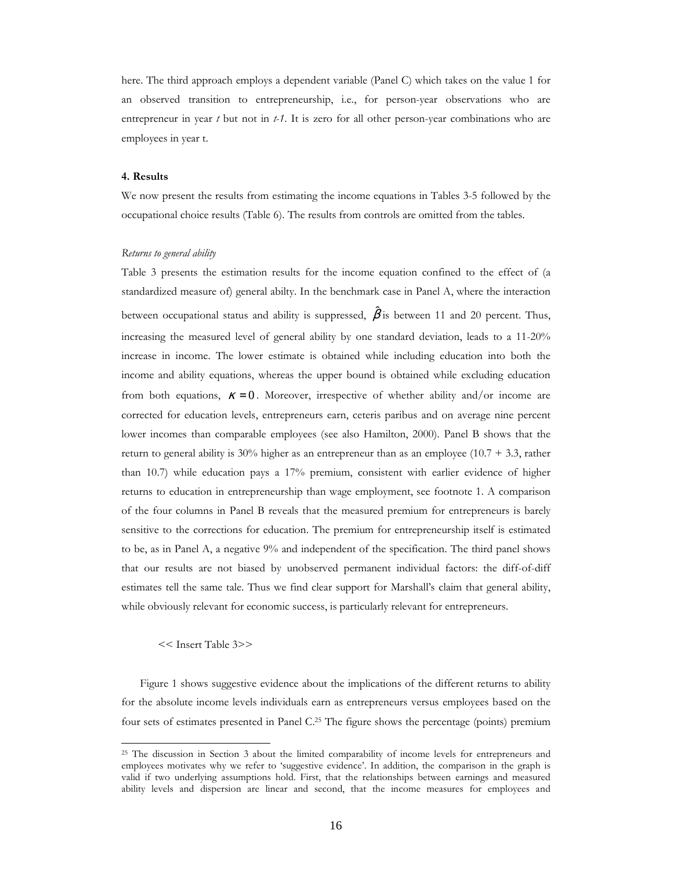here. The third approach employs a dependent variable (Panel C) which takes on the value 1 for an observed transition to entrepreneurship, i.e., for person-year observations who are entrepreneur in year *t* but not in *t-1*. It is zero for all other person-year combinations who are employees in year t.

# **4. Results**

We now present the results from estimating the income equations in Tables 3-5 followed by the occupational choice results (Table 6). The results from controls are omitted from the tables.

# *Returns to general ability*

Table 3 presents the estimation results for the income equation confined to the effect of (a standardized measure of) general abilty. In the benchmark case in Panel A, where the interaction between occupational status and ability is suppressed,  $\hat{\beta}$  is between 11 and 20 percent. Thus, increasing the measured level of general ability by one standard deviation, leads to a 11-20% increase in income. The lower estimate is obtained while including education into both the income and ability equations, whereas the upper bound is obtained while excluding education from both equations,  $\kappa = 0$ . Moreover, irrespective of whether ability and/or income are corrected for education levels, entrepreneurs earn, ceteris paribus and on average nine percent lower incomes than comparable employees (see also Hamilton, 2000). Panel B shows that the return to general ability is 30% higher as an entrepreneur than as an employee (10.7 + 3.3, rather than 10.7) while education pays a 17% premium, consistent with earlier evidence of higher returns to education in entrepreneurship than wage employment, see footnote 1. A comparison of the four columns in Panel B reveals that the measured premium for entrepreneurs is barely sensitive to the corrections for education. The premium for entrepreneurship itself is estimated to be, as in Panel A, a negative 9% and independent of the specification. The third panel shows that our results are not biased by unobserved permanent individual factors: the diff-of-diff estimates tell the same tale. Thus we find clear support for Marshall's claim that general ability, while obviously relevant for economic success, is particularly relevant for entrepreneurs.

# << Insert Table 3>>

Ē,

Figure 1 shows suggestive evidence about the implications of the different returns to ability for the absolute income levels individuals earn as entrepreneurs versus employees based on the four sets of estimates presented in Panel C.25 The figure shows the percentage (points) premium

<sup>&</sup>lt;sup>25</sup> The discussion in Section 3 about the limited comparability of income levels for entrepreneurs and employees motivates why we refer to 'suggestive evidence'. In addition, the comparison in the graph is valid if two underlying assumptions hold. First, that the relationships between earnings and measured ability levels and dispersion are linear and second, that the income measures for employees and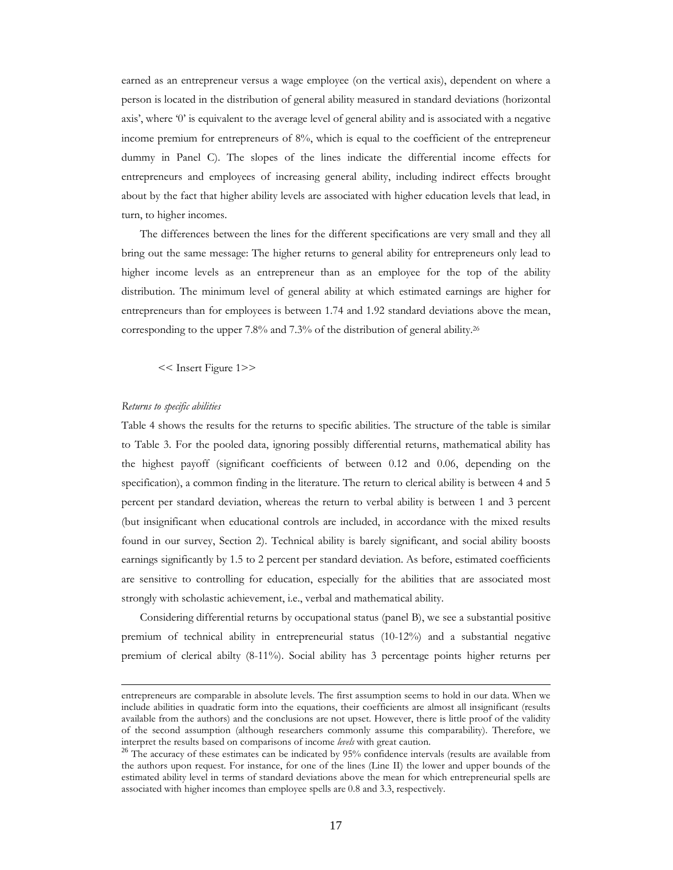earned as an entrepreneur versus a wage employee (on the vertical axis), dependent on where a person is located in the distribution of general ability measured in standard deviations (horizontal axis', where '0' is equivalent to the average level of general ability and is associated with a negative income premium for entrepreneurs of 8%, which is equal to the coefficient of the entrepreneur dummy in Panel C). The slopes of the lines indicate the differential income effects for entrepreneurs and employees of increasing general ability, including indirect effects brought about by the fact that higher ability levels are associated with higher education levels that lead, in turn, to higher incomes.

The differences between the lines for the different specifications are very small and they all bring out the same message: The higher returns to general ability for entrepreneurs only lead to higher income levels as an entrepreneur than as an employee for the top of the ability distribution. The minimum level of general ability at which estimated earnings are higher for entrepreneurs than for employees is between 1.74 and 1.92 standard deviations above the mean, corresponding to the upper 7.8% and 7.3% of the distribution of general ability.<sup>26</sup>

<< Insert Figure 1>>

#### *Returns to specific abilities*

÷,

Table 4 shows the results for the returns to specific abilities. The structure of the table is similar to Table 3. For the pooled data, ignoring possibly differential returns, mathematical ability has the highest payoff (significant coefficients of between 0.12 and 0.06, depending on the specification), a common finding in the literature. The return to clerical ability is between 4 and 5 percent per standard deviation, whereas the return to verbal ability is between 1 and 3 percent (but insignificant when educational controls are included, in accordance with the mixed results found in our survey, Section 2). Technical ability is barely significant, and social ability boosts earnings significantly by 1.5 to 2 percent per standard deviation. As before, estimated coefficients are sensitive to controlling for education, especially for the abilities that are associated most strongly with scholastic achievement, i.e., verbal and mathematical ability.

Considering differential returns by occupational status (panel B), we see a substantial positive premium of technical ability in entrepreneurial status (10-12%) and a substantial negative premium of clerical abilty (8-11%). Social ability has 3 percentage points higher returns per

entrepreneurs are comparable in absolute levels. The first assumption seems to hold in our data. When we include abilities in quadratic form into the equations, their coefficients are almost all insignificant (results available from the authors) and the conclusions are not upset. However, there is little proof of the validity of the second assumption (although researchers commonly assume this comparability). Therefore, we interpret the results based on comparisons of income *levels* with great caution.

<sup>&</sup>lt;sup>26</sup> The accuracy of these estimates can be indicated by 95% confidence intervals (results are available from the authors upon request. For instance, for one of the lines (Line II) the lower and upper bounds of the estimated ability level in terms of standard deviations above the mean for which entrepreneurial spells are associated with higher incomes than employee spells are 0.8 and 3.3, respectively.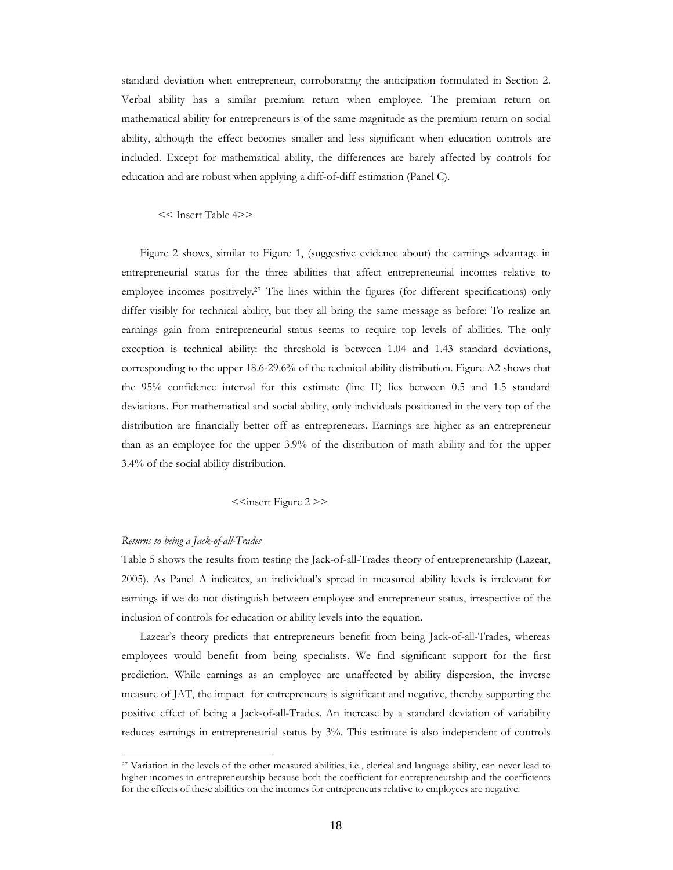standard deviation when entrepreneur, corroborating the anticipation formulated in Section 2. Verbal ability has a similar premium return when employee. The premium return on mathematical ability for entrepreneurs is of the same magnitude as the premium return on social ability, although the effect becomes smaller and less significant when education controls are included. Except for mathematical ability, the differences are barely affected by controls for education and are robust when applying a diff-of-diff estimation (Panel C).

# << Insert Table 4>>

Figure 2 shows, similar to Figure 1, (suggestive evidence about) the earnings advantage in entrepreneurial status for the three abilities that affect entrepreneurial incomes relative to employee incomes positively.<sup>27</sup> The lines within the figures (for different specifications) only differ visibly for technical ability, but they all bring the same message as before: To realize an earnings gain from entrepreneurial status seems to require top levels of abilities. The only exception is technical ability: the threshold is between 1.04 and 1.43 standard deviations, corresponding to the upper 18.6-29.6% of the technical ability distribution. Figure A2 shows that the 95% confidence interval for this estimate (line II) lies between 0.5 and 1.5 standard deviations. For mathematical and social ability, only individuals positioned in the very top of the distribution are financially better off as entrepreneurs. Earnings are higher as an entrepreneur than as an employee for the upper 3.9% of the distribution of math ability and for the upper 3.4% of the social ability distribution.

# $<<$ insert Figure 2 >>

#### *Returns to being a Jack-of-all-Trades*

÷,

Table 5 shows the results from testing the Jack-of-all-Trades theory of entrepreneurship (Lazear, 2005). As Panel A indicates, an individual's spread in measured ability levels is irrelevant for earnings if we do not distinguish between employee and entrepreneur status, irrespective of the inclusion of controls for education or ability levels into the equation.

Lazear's theory predicts that entrepreneurs benefit from being Jack-of-all-Trades, whereas employees would benefit from being specialists. We find significant support for the first prediction. While earnings as an employee are unaffected by ability dispersion, the inverse measure of JAT, the impact for entrepreneurs is significant and negative, thereby supporting the positive effect of being a Jack-of-all-Trades. An increase by a standard deviation of variability reduces earnings in entrepreneurial status by 3%. This estimate is also independent of controls

<sup>&</sup>lt;sup>27</sup> Variation in the levels of the other measured abilities, i.e., clerical and language ability, can never lead to higher incomes in entrepreneurship because both the coefficient for entrepreneurship and the coefficients for the effects of these abilities on the incomes for entrepreneurs relative to employees are negative.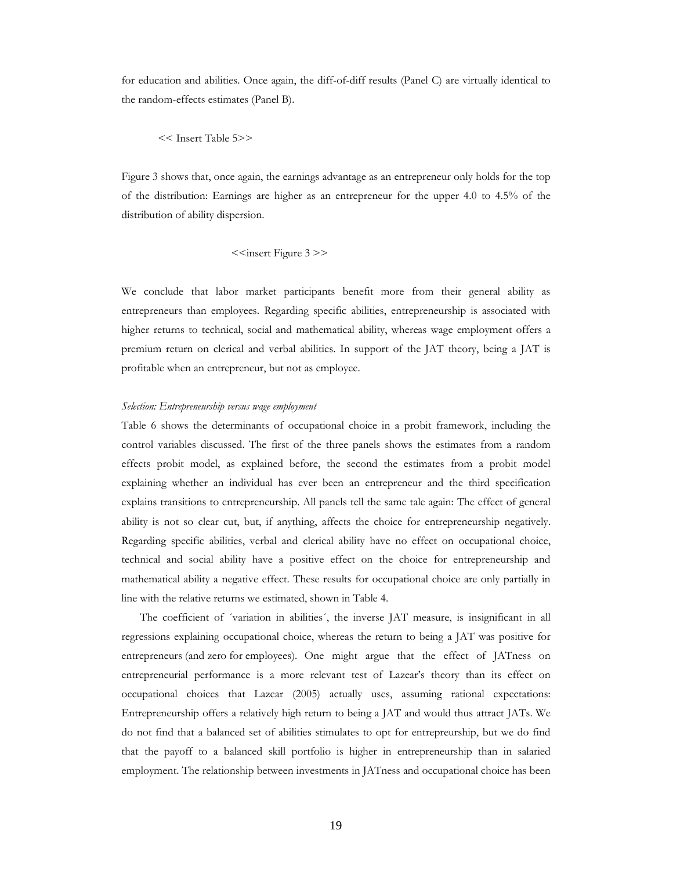for education and abilities. Once again, the diff-of-diff results (Panel C) are virtually identical to the random-effects estimates (Panel B).

<< Insert Table 5>>

Figure 3 shows that, once again, the earnings advantage as an entrepreneur only holds for the top of the distribution: Earnings are higher as an entrepreneur for the upper 4.0 to 4.5% of the distribution of ability dispersion.

# $<<$ insert Figure 3 >>

We conclude that labor market participants benefit more from their general ability as entrepreneurs than employees. Regarding specific abilities, entrepreneurship is associated with higher returns to technical, social and mathematical ability, whereas wage employment offers a premium return on clerical and verbal abilities. In support of the JAT theory, being a JAT is profitable when an entrepreneur, but not as employee.

#### *Selection: Entrepreneurship versus wage employment*

Table 6 shows the determinants of occupational choice in a probit framework, including the control variables discussed. The first of the three panels shows the estimates from a random effects probit model, as explained before, the second the estimates from a probit model explaining whether an individual has ever been an entrepreneur and the third specification explains transitions to entrepreneurship. All panels tell the same tale again: The effect of general ability is not so clear cut, but, if anything, affects the choice for entrepreneurship negatively. Regarding specific abilities, verbal and clerical ability have no effect on occupational choice, technical and social ability have a positive effect on the choice for entrepreneurship and mathematical ability a negative effect. These results for occupational choice are only partially in line with the relative returns we estimated, shown in Table 4.

 The coefficient of ´variation in abilities´, the inverse JAT measure, is insignificant in all regressions explaining occupational choice, whereas the return to being a JAT was positive for entrepreneurs (and zero for employees). One might argue that the effect of JATness on entrepreneurial performance is a more relevant test of Lazear's theory than its effect on occupational choices that Lazear (2005) actually uses, assuming rational expectations: Entrepreneurship offers a relatively high return to being a JAT and would thus attract JATs. We do not find that a balanced set of abilities stimulates to opt for entrepreurship, but we do find that the payoff to a balanced skill portfolio is higher in entrepreneurship than in salaried employment. The relationship between investments in JATness and occupational choice has been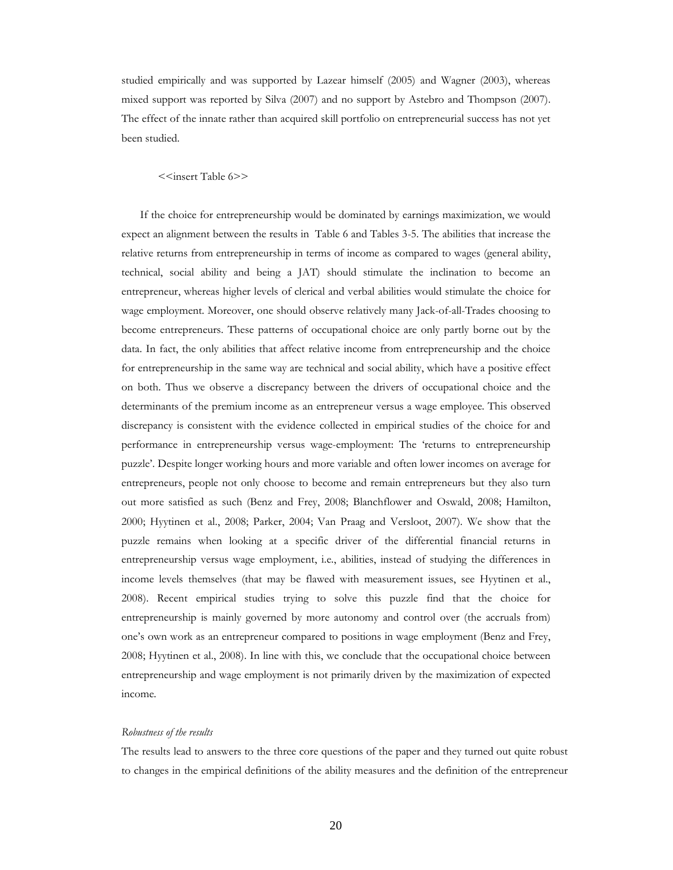studied empirically and was supported by Lazear himself (2005) and Wagner (2003), whereas mixed support was reported by Silva (2007) and no support by Astebro and Thompson (2007). The effect of the innate rather than acquired skill portfolio on entrepreneurial success has not yet been studied.

# <<insert Table 6>>

 If the choice for entrepreneurship would be dominated by earnings maximization, we would expect an alignment between the results in Table 6 and Tables 3-5. The abilities that increase the relative returns from entrepreneurship in terms of income as compared to wages (general ability, technical, social ability and being a JAT) should stimulate the inclination to become an entrepreneur, whereas higher levels of clerical and verbal abilities would stimulate the choice for wage employment. Moreover, one should observe relatively many Jack-of-all-Trades choosing to become entrepreneurs. These patterns of occupational choice are only partly borne out by the data. In fact, the only abilities that affect relative income from entrepreneurship and the choice for entrepreneurship in the same way are technical and social ability, which have a positive effect on both. Thus we observe a discrepancy between the drivers of occupational choice and the determinants of the premium income as an entrepreneur versus a wage employee. This observed discrepancy is consistent with the evidence collected in empirical studies of the choice for and performance in entrepreneurship versus wage-employment: The 'returns to entrepreneurship puzzle'. Despite longer working hours and more variable and often lower incomes on average for entrepreneurs, people not only choose to become and remain entrepreneurs but they also turn out more satisfied as such (Benz and Frey, 2008; Blanchflower and Oswald, 2008; Hamilton, 2000; Hyytinen et al., 2008; Parker, 2004; Van Praag and Versloot, 2007). We show that the puzzle remains when looking at a specific driver of the differential financial returns in entrepreneurship versus wage employment, i.e., abilities, instead of studying the differences in income levels themselves (that may be flawed with measurement issues, see Hyytinen et al., 2008). Recent empirical studies trying to solve this puzzle find that the choice for entrepreneurship is mainly governed by more autonomy and control over (the accruals from) one's own work as an entrepreneur compared to positions in wage employment (Benz and Frey, 2008; Hyytinen et al., 2008). In line with this, we conclude that the occupational choice between entrepreneurship and wage employment is not primarily driven by the maximization of expected income.

# *Robustness of the results*

The results lead to answers to the three core questions of the paper and they turned out quite robust to changes in the empirical definitions of the ability measures and the definition of the entrepreneur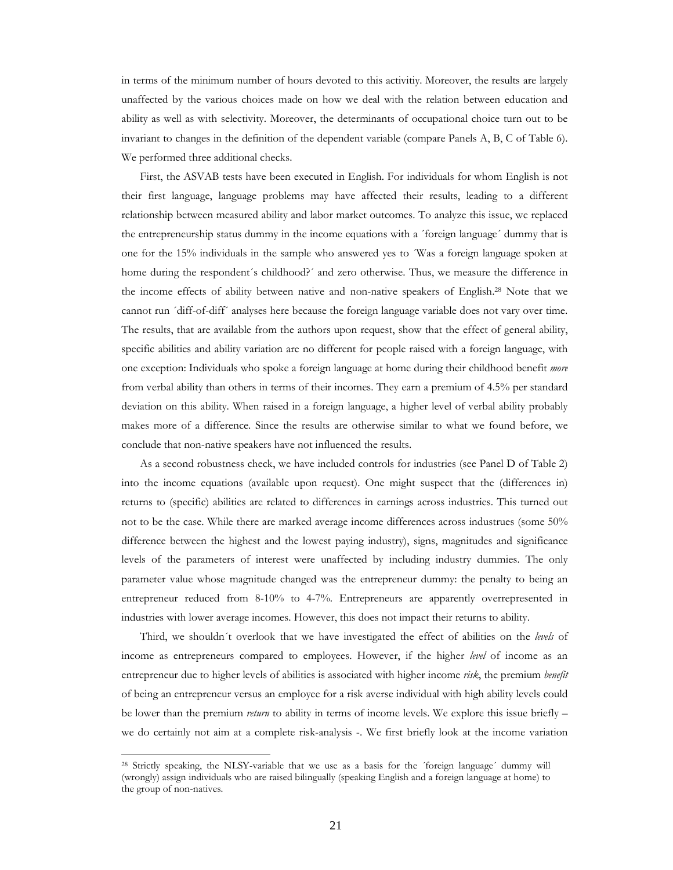in terms of the minimum number of hours devoted to this activitiy. Moreover, the results are largely unaffected by the various choices made on how we deal with the relation between education and ability as well as with selectivity. Moreover, the determinants of occupational choice turn out to be invariant to changes in the definition of the dependent variable (compare Panels A, B, C of Table 6). We performed three additional checks.

 First, the ASVAB tests have been executed in English. For individuals for whom English is not their first language, language problems may have affected their results, leading to a different relationship between measured ability and labor market outcomes. To analyze this issue, we replaced the entrepreneurship status dummy in the income equations with a ´foreign language´ dummy that is one for the 15% individuals in the sample who answered yes to ´Was a foreign language spoken at home during the respondent's childhood?' and zero otherwise. Thus, we measure the difference in the income effects of ability between native and non-native speakers of English.28 Note that we cannot run ´diff-of-diff´ analyses here because the foreign language variable does not vary over time. The results, that are available from the authors upon request, show that the effect of general ability, specific abilities and ability variation are no different for people raised with a foreign language, with one exception: Individuals who spoke a foreign language at home during their childhood benefit *more* from verbal ability than others in terms of their incomes. They earn a premium of 4.5% per standard deviation on this ability. When raised in a foreign language, a higher level of verbal ability probably makes more of a difference. Since the results are otherwise similar to what we found before, we conclude that non-native speakers have not influenced the results.

 As a second robustness check, we have included controls for industries (see Panel D of Table 2) into the income equations (available upon request). One might suspect that the (differences in) returns to (specific) abilities are related to differences in earnings across industries. This turned out not to be the case. While there are marked average income differences across industrues (some 50% difference between the highest and the lowest paying industry), signs, magnitudes and significance levels of the parameters of interest were unaffected by including industry dummies. The only parameter value whose magnitude changed was the entrepreneur dummy: the penalty to being an entrepreneur reduced from 8-10% to 4-7%. Entrepreneurs are apparently overrepresented in industries with lower average incomes. However, this does not impact their returns to ability.

 Third, we shouldn´t overlook that we have investigated the effect of abilities on the *levels* of income as entrepreneurs compared to employees. However, if the higher *level* of income as an entrepreneur due to higher levels of abilities is associated with higher income *risk*, the premium *benefit* of being an entrepreneur versus an employee for a risk averse individual with high ability levels could be lower than the premium *return* to ability in terms of income levels. We explore this issue briefly – we do certainly not aim at a complete risk-analysis -. We first briefly look at the income variation

÷,

<sup>&</sup>lt;sup>28</sup> Strictly speaking, the NLSY-variable that we use as a basis for the 'foreign language' dummy will (wrongly) assign individuals who are raised bilingually (speaking English and a foreign language at home) to the group of non-natives.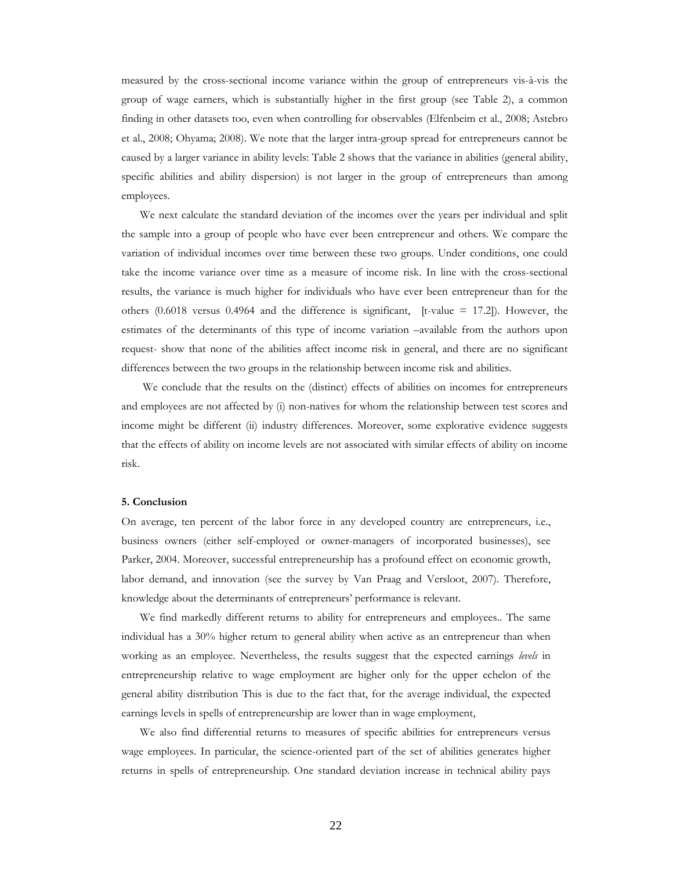measured by the cross-sectional income variance within the group of entrepreneurs vis-à-vis the group of wage earners, which is substantially higher in the first group (see Table 2), a common finding in other datasets too, even when controlling for observables (Elfenbeim et al., 2008; Astebro et al., 2008; Ohyama; 2008). We note that the larger intra-group spread for entrepreneurs cannot be caused by a larger variance in ability levels: Table 2 shows that the variance in abilities (general ability, specific abilities and ability dispersion) is not larger in the group of entrepreneurs than among employees.

 We next calculate the standard deviation of the incomes over the years per individual and split the sample into a group of people who have ever been entrepreneur and others. We compare the variation of individual incomes over time between these two groups. Under conditions, one could take the income variance over time as a measure of income risk. In line with the cross-sectional results, the variance is much higher for individuals who have ever been entrepreneur than for the others  $(0.6018 \text{ versus } 0.4964 \text{ and the difference is significant, } [t-value = 17.2]).$  However, the estimates of the determinants of this type of income variation –available from the authors upon request- show that none of the abilities affect income risk in general, and there are no significant differences between the two groups in the relationship between income risk and abilities.

 We conclude that the results on the (distinct) effects of abilities on incomes for entrepreneurs and employees are not affected by (i) non-natives for whom the relationship between test scores and income might be different (ii) industry differences. Moreover, some explorative evidence suggests that the effects of ability on income levels are not associated with similar effects of ability on income risk.

# **5. Conclusion**

On average, ten percent of the labor force in any developed country are entrepreneurs, i.e., business owners (either self-employed or owner-managers of incorporated businesses), see Parker, 2004. Moreover, successful entrepreneurship has a profound effect on economic growth, labor demand, and innovation (see the survey by Van Praag and Versloot, 2007). Therefore, knowledge about the determinants of entrepreneurs' performance is relevant.

We find markedly different returns to ability for entrepreneurs and employees.. The same individual has a 30% higher return to general ability when active as an entrepreneur than when working as an employee. Nevertheless, the results suggest that the expected earnings *levels* in entrepreneurship relative to wage employment are higher only for the upper echelon of the general ability distribution This is due to the fact that, for the average individual, the expected earnings levels in spells of entrepreneurship are lower than in wage employment,

We also find differential returns to measures of specific abilities for entrepreneurs versus wage employees. In particular, the science-oriented part of the set of abilities generates higher returns in spells of entrepreneurship. One standard deviation increase in technical ability pays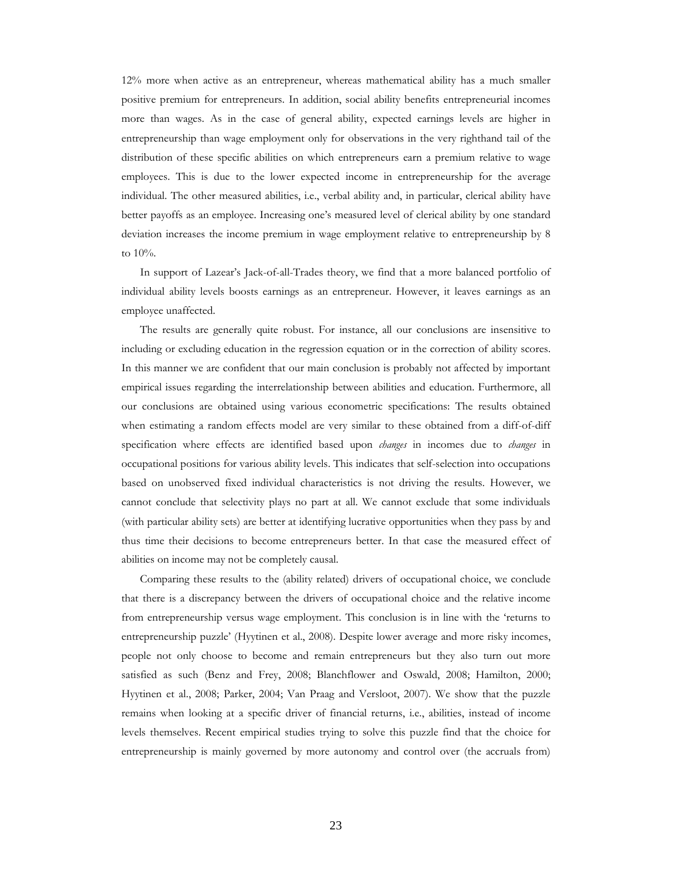12% more when active as an entrepreneur, whereas mathematical ability has a much smaller positive premium for entrepreneurs. In addition, social ability benefits entrepreneurial incomes more than wages. As in the case of general ability, expected earnings levels are higher in entrepreneurship than wage employment only for observations in the very righthand tail of the distribution of these specific abilities on which entrepreneurs earn a premium relative to wage employees. This is due to the lower expected income in entrepreneurship for the average individual. The other measured abilities, i.e., verbal ability and, in particular, clerical ability have better payoffs as an employee. Increasing one's measured level of clerical ability by one standard deviation increases the income premium in wage employment relative to entrepreneurship by 8 to 10%.

In support of Lazear's Jack-of-all-Trades theory, we find that a more balanced portfolio of individual ability levels boosts earnings as an entrepreneur. However, it leaves earnings as an employee unaffected.

The results are generally quite robust. For instance, all our conclusions are insensitive to including or excluding education in the regression equation or in the correction of ability scores. In this manner we are confident that our main conclusion is probably not affected by important empirical issues regarding the interrelationship between abilities and education. Furthermore, all our conclusions are obtained using various econometric specifications: The results obtained when estimating a random effects model are very similar to these obtained from a diff-of-diff specification where effects are identified based upon *changes* in incomes due to *changes* in occupational positions for various ability levels. This indicates that self-selection into occupations based on unobserved fixed individual characteristics is not driving the results. However, we cannot conclude that selectivity plays no part at all. We cannot exclude that some individuals (with particular ability sets) are better at identifying lucrative opportunities when they pass by and thus time their decisions to become entrepreneurs better. In that case the measured effect of abilities on income may not be completely causal.

Comparing these results to the (ability related) drivers of occupational choice, we conclude that there is a discrepancy between the drivers of occupational choice and the relative income from entrepreneurship versus wage employment. This conclusion is in line with the 'returns to entrepreneurship puzzle' (Hyytinen et al., 2008). Despite lower average and more risky incomes, people not only choose to become and remain entrepreneurs but they also turn out more satisfied as such (Benz and Frey, 2008; Blanchflower and Oswald, 2008; Hamilton, 2000; Hyytinen et al., 2008; Parker, 2004; Van Praag and Versloot, 2007). We show that the puzzle remains when looking at a specific driver of financial returns, i.e., abilities, instead of income levels themselves. Recent empirical studies trying to solve this puzzle find that the choice for entrepreneurship is mainly governed by more autonomy and control over (the accruals from)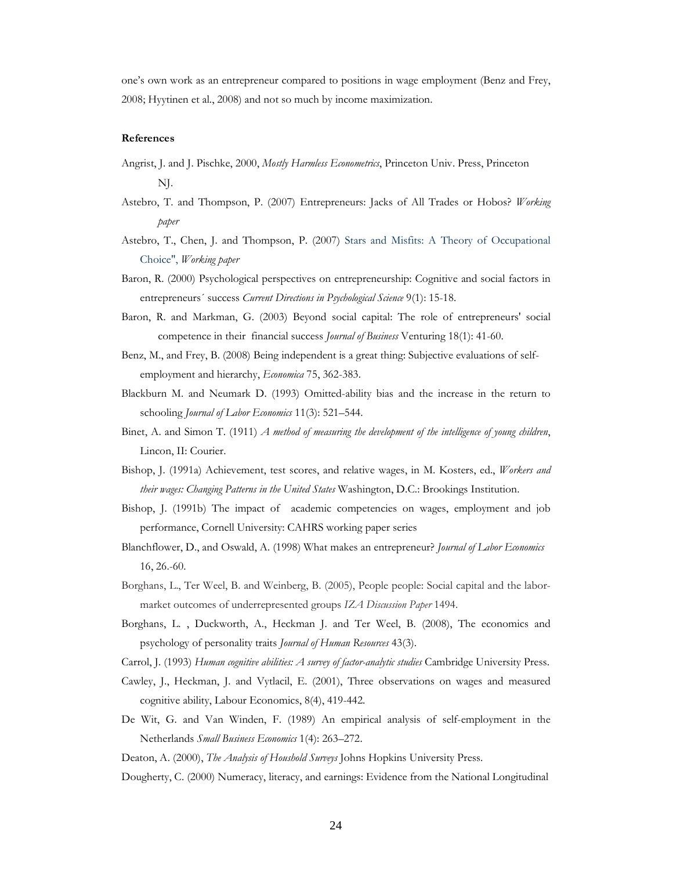one's own work as an entrepreneur compared to positions in wage employment (Benz and Frey, 2008; Hyytinen et al., 2008) and not so much by income maximization.

# **References**

- Angrist, J. and J. Pischke, 2000, *Mostly Harmless Econometrics*, Princeton Univ. Press, Princeton NJ.
- Astebro, T. and Thompson, P. (2007) Entrepreneurs: Jacks of All Trades or Hobos? *Working paper*
- Astebro, T., Chen, J. and Thompson, P. (2007) Stars and Misfits: A Theory of Occupational Choice", *Working paper*
- Baron, R. (2000) Psychological perspectives on entrepreneurship: Cognitive and social factors in entrepreneurs´ success *Current Directions in Psychological Science* 9(1): 15-18.
- Baron, R. and Markman, G. (2003) Beyond social capital: The role of entrepreneurs' social competence in their financial success *Journal of Business* Venturing 18(1): 41-60.
- Benz, M., and Frey, B. (2008) Being independent is a great thing: Subjective evaluations of self employment and hierarchy, *Economica* 75, 362-383.
- Blackburn M. and Neumark D. (1993) Omitted-ability bias and the increase in the return to schooling *Journal of Labor Economics* 11(3): 521–544.
- Binet, A. and Simon T. (1911) *A method of measuring the development of the intelligence of young children*, Lincon, II: Courier.
- Bishop, J. (1991a) Achievement, test scores, and relative wages, in M. Kosters, ed., *Workers and their wages: Changing Patterns in the United States* Washington, D.C.: Brookings Institution.
- Bishop, J. (1991b) The impact of academic competencies on wages, employment and job performance, Cornell University: CAHRS working paper series
- Blanchflower, D., and Oswald, A. (1998) What makes an entrepreneur? *Journal of Labor Economics* 16, 26.-60.
- Borghans, L., Ter Weel, B. and Weinberg, B. (2005), People people: Social capital and the labormarket outcomes of underrepresented groups *IZA Discussion Paper* 1494.
- Borghans, L. , Duckworth, A., Heckman J. and Ter Weel, B. (2008), The economics and psychology of personality traits *Journal of Human Resources* 43(3).
- Carrol, J. (1993) *Human cognitive abilities: A survey of factor-analytic studies* Cambridge University Press.
- Cawley, J., Heckman, J. and Vytlacil, E. (2001), Three observations on wages and measured cognitive ability, Labour Economics, 8(4), 419-442.
- De Wit, G. and Van Winden, F. (1989) An empirical analysis of self-employment in the Netherlands *Small Business Economics* 1(4): 263–272.

Deaton, A. (2000), *The Analysis of Houshold Surveys* Johns Hopkins University Press.

Dougherty, C. (2000) Numeracy, literacy, and earnings: Evidence from the National Longitudinal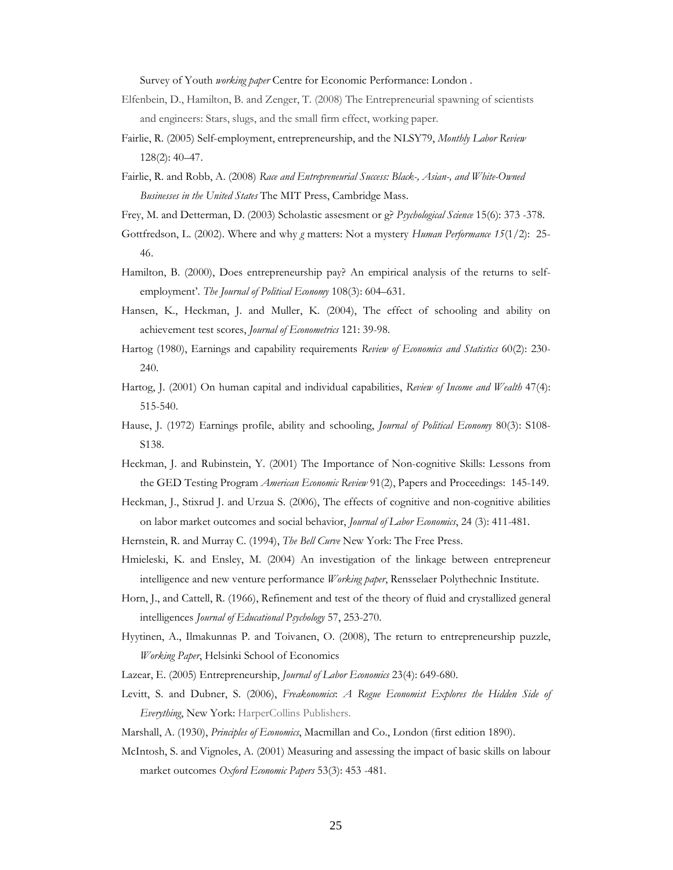Survey of Youth *working paper* Centre for Economic Performance: London .

- Elfenbein, D., Hamilton, B. and Zenger, T. (2008) The Entrepreneurial spawning of scientists and engineers: Stars, slugs, and the small firm effect, working paper.
- Fairlie, R. (2005) Self-employment, entrepreneurship, and the NLSY79, *Monthly Labor Review*  128(2): 40–47.
- Fairlie, R. and Robb, A. (2008) *Race and Entrepreneurial Success: Black-, Asian-, and White-Owned Businesses in the United States* The MIT Press, Cambridge Mass.
- Frey, M. and Detterman, D. (2003) Scholastic assesment or g? *Psychological Science* 15(6): 373 -378.
- Gottfredson, L. (2002). Where and why *g* matters: Not a mystery *Human Performance 15*(1/2): 25- 46.
- Hamilton, B. (2000), Does entrepreneurship pay? An empirical analysis of the returns to selfemployment'. *The Journal of Political Economy* 108(3): 604–631.
- Hansen, K., Heckman, J. and Muller, K. (2004), The effect of schooling and ability on achievement test scores, *Journal of Econometrics* 121: 39-98.
- Hartog (1980), Earnings and capability requirements *Review of Economics and Statistics* 60(2): 230- 240.
- Hartog, J. (2001) On human capital and individual capabilities, *Review of Income and Wealth* 47(4): 515-540.
- Hause, J. (1972) Earnings profile, ability and schooling, *Journal of Political Economy* 80(3): S108- S138.
- Heckman, J. and Rubinstein, Y. (2001) The Importance of Non-cognitive Skills: Lessons from the GED Testing Program *American Economic Review* 91(2), Papers and Proceedings: 145-149.
- Heckman, J., Stixrud J. and Urzua S. (2006), The effects of cognitive and non-cognitive abilities on labor market outcomes and social behavior, *Journal of Labor Economics*, 24 (3): 411-481.
- Hernstein, R. and Murray C. (1994), *The Bell Curve* New York: The Free Press.
- Hmieleski, K. and Ensley, M. (2004) An investigation of the linkage between entrepreneur intelligence and new venture performance *Working paper*, Rensselaer Polythechnic Institute.
- Horn, J., and Cattell, R. (1966), Refinement and test of the theory of fluid and crystallized general intelligences *Journal of Educational Psychology* 57, 253-270.
- Hyytinen, A., Ilmakunnas P. and Toivanen, O. (2008), The return to entrepreneurship puzzle, *Working Paper*, Helsinki School of Economics
- Lazear, E. (2005) Entrepreneurship, *Journal of Labor Economics* 23(4): 649-680.
- Levitt, S. and Dubner, S. (2006), *Freakonomics*: *A Rogue Economist Explores the Hidden Side of Everything*, New York: HarperCollins Publishers.
- Marshall, A. (1930), *Principles of Economics*, Macmillan and Co., London (first edition 1890).
- McIntosh, S. and Vignoles, A. (2001) Measuring and assessing the impact of basic skills on labour market outcomes *Oxford Economic Papers* 53(3): 453 -481.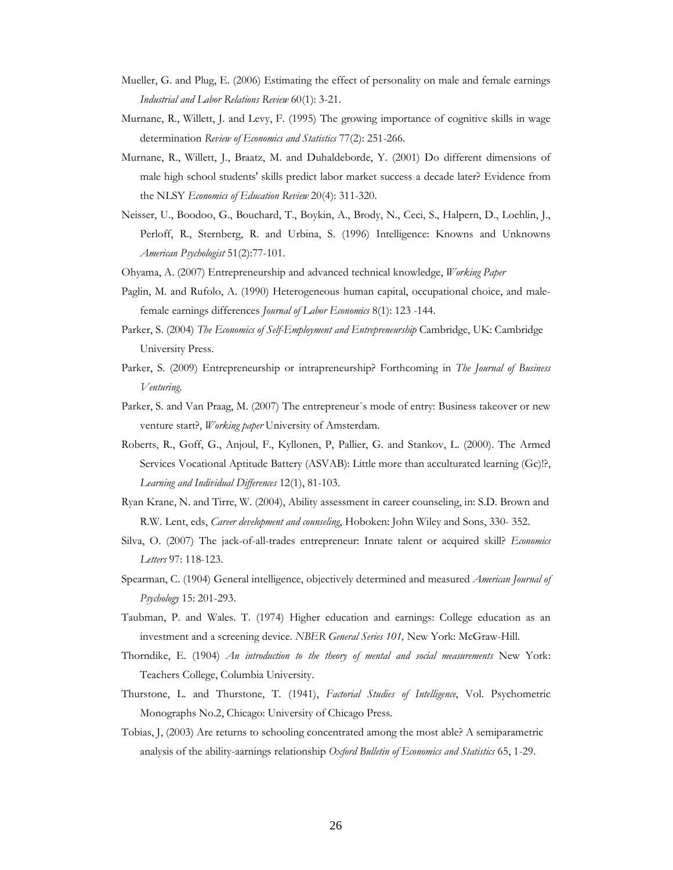- Mueller, G. and Plug, E. (2006) Estimating the effect of personality on male and female earnings *Industrial and Labor Relations Review* 60(1): 3-21.
- Murnane, R., Willett, J. and Levy, F. (1995) The growing importance of cognitive skills in wage determination *Review of Economics and Statistics* 77(2): 251-266.
- Murnane, R., Willett, J., Braatz, M. and Duhaldeborde, Y. (2001) Do different dimensions of male high school students' skills predict labor market success a decade later? Evidence from the NLSY *Economics of Education Review* 20(4): 311-320.
- Neisser, U., Boodoo, G., Bouchard, T., Boykin, A., Brody, N., Ceci, S., Halpern, D., Loehlin, J., Perloff, R., Sternberg, R. and Urbina, S. (1996) Intelligence: Knowns and Unknowns *American Psychologist* 51(2):77-101.
- Ohyama, A. (2007) Entrepreneurship and advanced technical knowledge, *Working Paper*
- Paglin, M. and Rufolo, A. (1990) Heterogeneous human capital, occupational choice, and malefemale earnings differences *Journal of Labor Economics* 8(1): 123 -144.
- Parker, S. (2004) *The Economics of Self-Employment and Entrepreneurship* Cambridge, UK: Cambridge University Press.
- Parker, S. (2009) Entrepreneurship or intrapreneurship? Forthcoming in *The Journal of Business Venturing*.
- Parker, S. and Van Praag, M. (2007) The entrepreneur`s mode of entry: Business takeover or new venture start?, *Working paper* University of Amsterdam.
- Roberts, R., Goff, G., Anjoul, F., Kyllonen, P, Pallier, G. and Stankov, L. (2000). The Armed Services Vocational Aptitude Battery (ASVAB): Little more than acculturated learning (Gc)!?, *Learning and Individual Differences* 12(1), 81-103.
- Ryan Krane, N. and Tirre, W. (2004), Ability assessment in career counseling, in: S.D. Brown and R.W. Lent, eds, *Career development and counseling*, Hoboken: John Wiley and Sons, 330- 352.
- Silva, O. (2007) The jack-of-all-trades entrepreneur: Innate talent or acquired skill? *Economics Letters* 97: 118-123.
- Spearman, C. (1904) General intelligence, objectively determined and measured *American Journal of Psychology* 15: 201-293.
- Taubman, P. and Wales. T. (1974) Higher education and earnings: College education as an investment and a screening device. *NBER General Series 101,* New York: McGraw-Hill.
- Thorndike, E. (1904) *An introduction to the theory of mental and social measurements* New York: Teachers College, Columbia University.
- Thurstone, L. and Thurstone, T. (1941), *Factorial Studies of Intelligence*, Vol. Psychometric Monographs No.2, Chicago: University of Chicago Press.
- Tobias, J, (2003) Are returns to schooling concentrated among the most able? A semiparametric analysis of the ability-aarnings relationship *Oxford Bulletin of Economics and Statistics* 65, 1-29.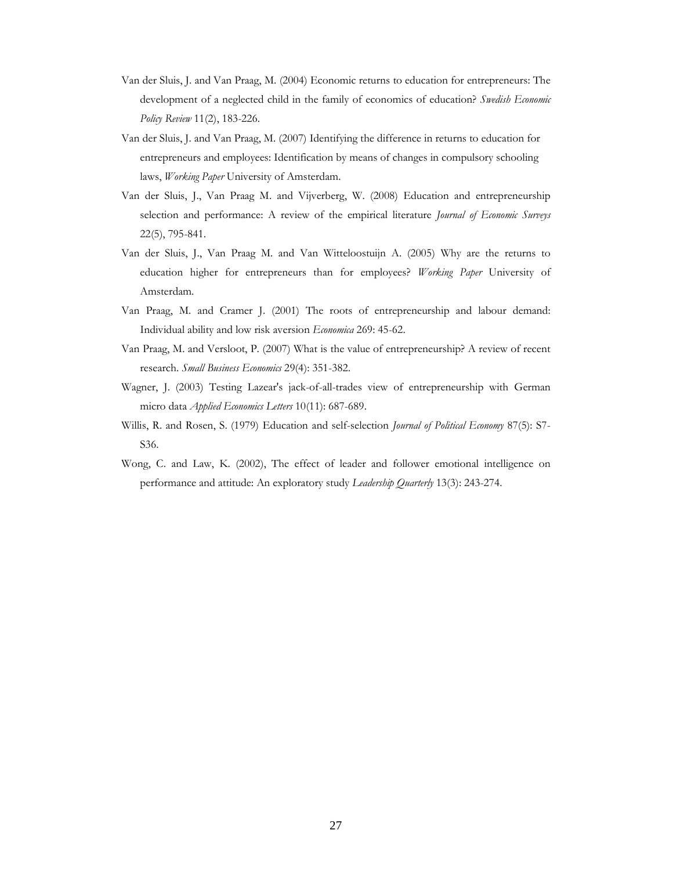- Van der Sluis, J. and Van Praag, M. (2004) Economic returns to education for entrepreneurs: The development of a neglected child in the family of economics of education? *Swedish Economic Policy Review* 11(2), 183-226.
- Van der Sluis, J. and Van Praag, M. (2007) Identifying the difference in returns to education for entrepreneurs and employees: Identification by means of changes in compulsory schooling laws, *Working Paper* University of Amsterdam.
- Van der Sluis, J., Van Praag M. and Vijverberg, W. (2008) Education and entrepreneurship selection and performance: A review of the empirical literature *Journal of Economic Surveys* 22(5), 795-841.
- Van der Sluis, J., Van Praag M. and Van Witteloostuijn A. (2005) Why are the returns to education higher for entrepreneurs than for employees? *Working Paper* University of Amsterdam.
- Van Praag, M. and Cramer J. (2001) The roots of entrepreneurship and labour demand: Individual ability and low risk aversion *Economica* 269: 45-62.
- Van Praag, M. and Versloot, P. (2007) What is the value of entrepreneurship? A review of recent research. *Small Business Economics* 29(4): 351-382.
- Wagner, J. (2003) Testing Lazear's jack-of-all-trades view of entrepreneurship with German micro data *Applied Economics Letters* 10(11): 687-689.
- Willis, R. and Rosen, S. (1979) Education and self-selection *Journal of Political Economy* 87(5): S7- S36.
- Wong, C. and Law, K. (2002), The effect of leader and follower emotional intelligence on performance and attitude: An exploratory study *Leadership Quarterly* 13(3): 243-274.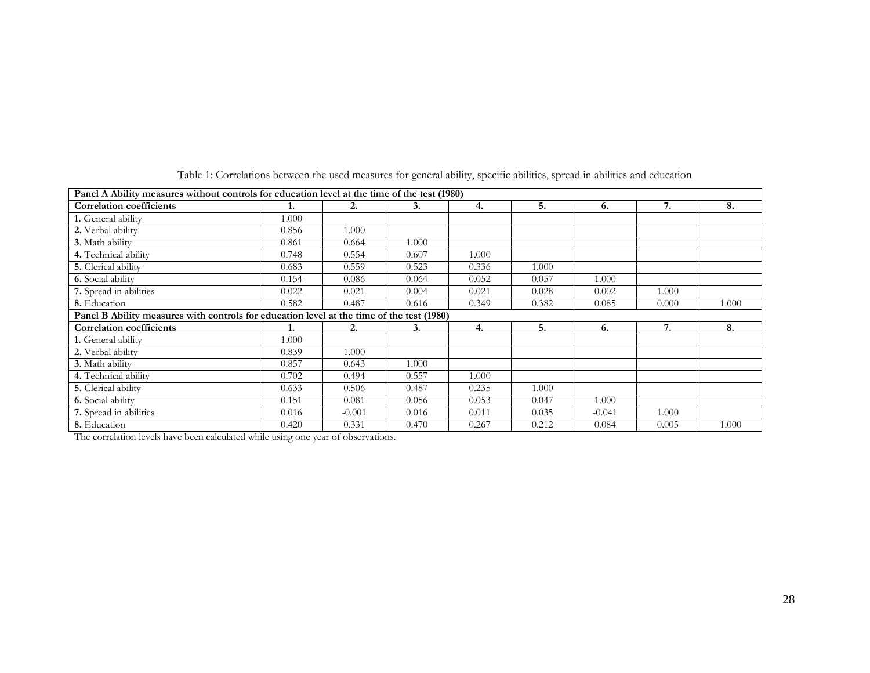| Panel A Ability measures without controls for education level at the time of the test (1980) |       |          |       |       |       |          |       |       |
|----------------------------------------------------------------------------------------------|-------|----------|-------|-------|-------|----------|-------|-------|
| <b>Correlation coefficients</b>                                                              |       | 2.       | 3.    | 4.    | 5.    | 6.       | 7.    | 8.    |
| 1. General ability                                                                           | 1.000 |          |       |       |       |          |       |       |
| 2. Verbal ability                                                                            | 0.856 | 1.000    |       |       |       |          |       |       |
| 3. Math ability                                                                              | 0.861 | 0.664    | 1.000 |       |       |          |       |       |
| 4. Technical ability                                                                         | 0.748 | 0.554    | 0.607 | 1.000 |       |          |       |       |
| 5. Clerical ability                                                                          | 0.683 | 0.559    | 0.523 | 0.336 | 1.000 |          |       |       |
| 6. Social ability                                                                            | 0.154 | 0.086    | 0.064 | 0.052 | 0.057 | 1.000    |       |       |
| 7. Spread in abilities                                                                       | 0.022 | 0.021    | 0.004 | 0.021 | 0.028 | 0.002    | 1.000 |       |
| 8. Education                                                                                 | 0.582 | 0.487    | 0.616 | 0.349 | 0.382 | 0.085    | 0.000 | 1.000 |
| Panel B Ability measures with controls for education level at the time of the test (1980)    |       |          |       |       |       |          |       |       |
| <b>Correlation coefficients</b>                                                              | 1.    | 2.       | 3.    | 4.    | 5.    | 6.       | 7.    | 8.    |
| 1. General ability                                                                           | .000  |          |       |       |       |          |       |       |
| 2. Verbal ability                                                                            | 0.839 | 1.000    |       |       |       |          |       |       |
| 3. Math ability                                                                              | 0.857 | 0.643    | 1.000 |       |       |          |       |       |
| 4. Technical ability                                                                         | 0.702 | 0.494    | 0.557 | 1.000 |       |          |       |       |
| 5. Clerical ability                                                                          | 0.633 | 0.506    | 0.487 | 0.235 | 1.000 |          |       |       |
| <b>6.</b> Social ability                                                                     | 0.151 | 0.081    | 0.056 | 0.053 | 0.047 | 1.000    |       |       |
| 7. Spread in abilities                                                                       | 0.016 | $-0.001$ | 0.016 | 0.011 | 0.035 | $-0.041$ | 1.000 |       |
| 8. Education                                                                                 | 0.420 | 0.331    | 0.470 | 0.267 | 0.212 | 0.084    | 0.005 | 1.000 |

Table 1: Correlations between the used measures for general ability, specific abilities, spread in abilities and education

The correlation levels have been calculated while using one year of observations.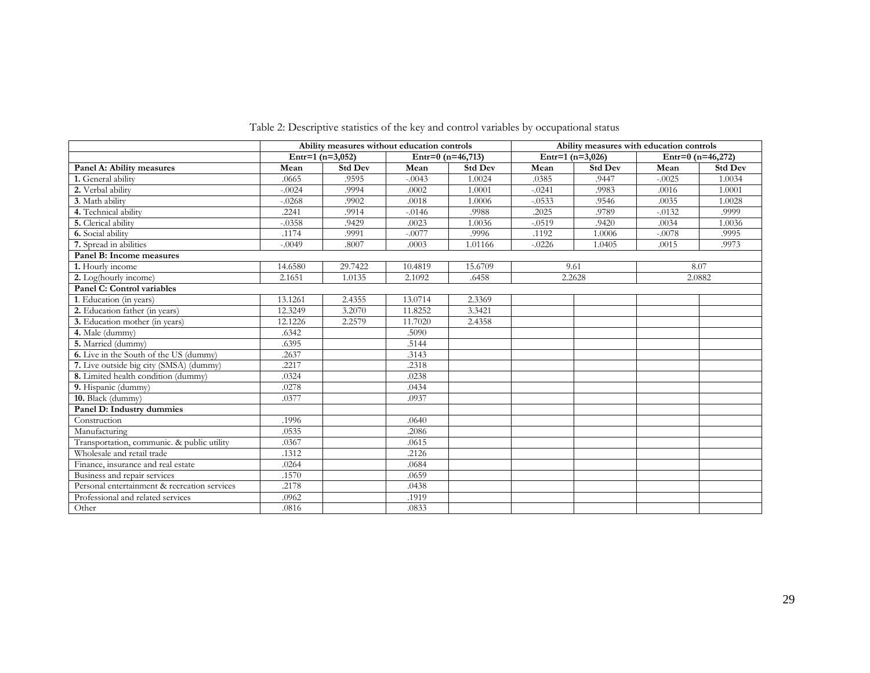|                                              | Ability measures without education controls |                    |         |                     | Ability measures with education controls |                    |          |                     |  |
|----------------------------------------------|---------------------------------------------|--------------------|---------|---------------------|------------------------------------------|--------------------|----------|---------------------|--|
|                                              |                                             | Entr=1 $(n=3,052)$ |         | Entr=0 $(n=46,713)$ |                                          | Entr=1 $(n=3,026)$ |          | Entr=0 $(n=46,272)$ |  |
| Panel A: Ability measures                    | Mean                                        | <b>Std Dev</b>     | Mean    | <b>Std Dev</b>      | Mean                                     | <b>Std Dev</b>     | Mean     | <b>Std Dev</b>      |  |
| 1. General ability                           | .0665                                       | .9595              | $-0043$ | 1.0024              | .0385                                    | .9447              | $-.0025$ | 1.0034              |  |
| 2. Verbal ability                            | $-.0024$                                    | .9994              | .0002   | 1.0001              | $-.0241$                                 | .9983              | .0016    | 1.0001              |  |
| 3. Math ability                              | $-.0268$                                    | .9902              | .0018   | 1.0006              | $-.0533$                                 | .9546              | .0035    | 1.0028              |  |
| 4. Technical ability                         | .2241                                       | .9914              | $-0146$ | .9988               | .2025                                    | .9789              | $-.0132$ | .9999               |  |
| 5. Clerical ability                          | $-.0358$                                    | .9429              | .0023   | 1.0036              | $-.0519$                                 | .9420              | .0034    | 1.0036              |  |
| <b>6.</b> Social ability                     | .1174                                       | .9991              | $-0077$ | .9996               | .1192                                    | 1.0006             | $-.0078$ | .9995               |  |
| 7. Spread in abilities                       | $-.0049$                                    | .8007              | .0003   | 1.01166             | $-.0226$                                 | 1.0405             | .0015    | .9973               |  |
| Panel B: Income measures                     |                                             |                    |         |                     |                                          |                    |          |                     |  |
| 1. Hourly income                             | 14.6580                                     | 29.7422            | 10.4819 | 15.6709             |                                          | 9.61               |          | 8.07                |  |
| 2. Log(hourly income)                        | 2.1651                                      | 1.0135             | 2.1092  | .6458               |                                          | 2.2628             |          | 2.0882              |  |
| Panel C: Control variables                   |                                             |                    |         |                     |                                          |                    |          |                     |  |
| 1. Education (in years)                      | 13.1261                                     | 2.4355             | 13.0714 | 2.3369              |                                          |                    |          |                     |  |
| 2. Education father (in years)               | 12.3249                                     | 3.2070             | 11.8252 | 3.3421              |                                          |                    |          |                     |  |
| 3. Education mother (in years)               | 12.1226                                     | 2.2579             | 11.7020 | 2.4358              |                                          |                    |          |                     |  |
| 4. Male (dummy)                              | .6342                                       |                    | .5090   |                     |                                          |                    |          |                     |  |
| 5. Married (dummy)                           | .6395                                       |                    | .5144   |                     |                                          |                    |          |                     |  |
| 6. Live in the South of the US (dummy)       | .2637                                       |                    | .3143   |                     |                                          |                    |          |                     |  |
| 7. Live outside big city (SMSA) (dummy)      | .2217                                       |                    | .2318   |                     |                                          |                    |          |                     |  |
| 8. Limited health condition (dummy)          | .0324                                       |                    | .0238   |                     |                                          |                    |          |                     |  |
| 9. Hispanic (dummy)                          | .0278                                       |                    | .0434   |                     |                                          |                    |          |                     |  |
| 10. Black (dummy)                            | .0377                                       |                    | .0937   |                     |                                          |                    |          |                     |  |
| Panel D: Industry dummies                    |                                             |                    |         |                     |                                          |                    |          |                     |  |
| Construction                                 | .1996                                       |                    | .0640   |                     |                                          |                    |          |                     |  |
| Manufacturing                                | .0535                                       |                    | .2086   |                     |                                          |                    |          |                     |  |
| Transportation, communic. & public utility   | .0367                                       |                    | .0615   |                     |                                          |                    |          |                     |  |
| Wholesale and retail trade                   | .1312                                       |                    | .2126   |                     |                                          |                    |          |                     |  |
| Finance, insurance and real estate           | .0264                                       |                    | .0684   |                     |                                          |                    |          |                     |  |
| Business and repair services                 | .1570                                       |                    | .0659   |                     |                                          |                    |          |                     |  |
| Personal entertainment & recreation services | .2178                                       |                    | .0438   |                     |                                          |                    |          |                     |  |
| Professional and related services            | .0962                                       |                    | .1919   |                     |                                          |                    |          |                     |  |
| Other                                        | .0816                                       |                    | .0833   |                     |                                          |                    |          |                     |  |

Table 2: Descriptive statistics of the key and control variables by occupational status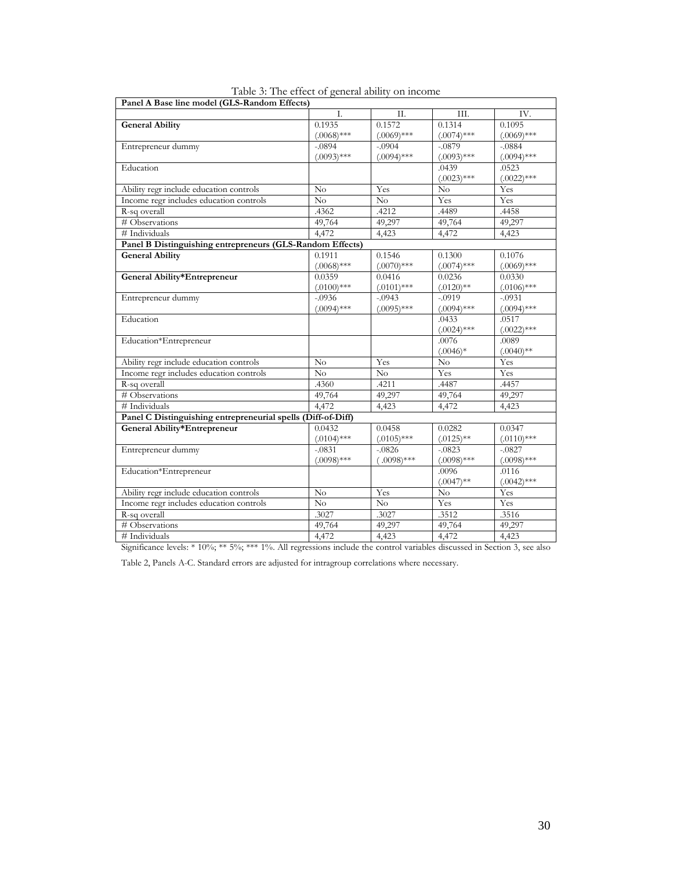| Panel A Base line model (GLS-Random Effects)                 |               |               |               |               |
|--------------------------------------------------------------|---------------|---------------|---------------|---------------|
|                                                              | T.            | II.           | III.          | IV.           |
| <b>General Ability</b>                                       | 0.1935        | 0.1572        | 0.1314        | 0.1095        |
|                                                              | $(.0068)$ *** | $(.0069)$ *** | $(.0074)$ *** | $(.0069)$ *** |
| Entrepreneur dummy                                           | $-.0894$      | $-.0904$      | $-.0879$      | $-.0884$      |
|                                                              | $(.0093)$ *** | $(.0094)$ *** | $(.0093)$ *** | $(.0094)$ *** |
| Education                                                    |               |               | .0439         | .0523         |
|                                                              |               |               | $(.0023)$ *** | $(.0022)$ *** |
| Ability regr include education controls                      | No            | Yes           | No            | Yes           |
| Income regr includes education controls                      | No            | No            | Yes           | Yes           |
| R-sq overall                                                 | .4362         | .4212         | .4489         | .4458         |
| # Observations                                               | 49,764        | 49,297        | 49,764        | 49,297        |
| # Individuals                                                | 4,472         | 4,423         | 4,472         | 4,423         |
| Panel B Distinguishing entrepreneurs (GLS-Random Effects)    |               |               |               |               |
| <b>General Ability</b>                                       | 0.1911        | 0.1546        | 0.1300        | 0.1076        |
|                                                              | $(.0068)$ *** | $(.0070)$ *** | $(.0074)$ *** | $(.0069)$ *** |
| General Ability*Entrepreneur                                 | 0.0359        | 0.0416        | 0.0236        | 0.0330        |
|                                                              | $(.0100)$ *** | $(.0101)$ *** | $(.0120)$ **  | $(.0106)$ *** |
| Entrepreneur dummy                                           | $-.0936$      | $-.0943$      | $-.0919$      | $-.0931$      |
|                                                              | $(.0094)$ *** | $(.0095)$ *** | $(.0094)$ *** | $(.0094)$ *** |
| Education                                                    |               |               | .0433         | .0517         |
|                                                              |               |               | $(.0024)$ *** | $(.0022)$ *** |
| Education*Entrepreneur                                       |               |               | .0076         | .0089         |
|                                                              |               |               | $(.0046)*$    | $(.0040)$ **  |
| Ability regr include education controls                      | No            | Yes           | No            | Yes           |
| Income regr includes education controls                      | No            | No            | Yes           | Yes           |
| R-sq overall                                                 | .4360         | .4211         | .4487         | .4457         |
| # Observations                                               | 49,764        | 49,297        | 49,764        | 49,297        |
| # Individuals                                                | 4.472         | 4.423         | 4,472         | 4,423         |
| Panel C Distinguishing entrepreneurial spells (Diff-of-Diff) |               |               |               |               |
| General Ability*Entrepreneur                                 | 0.0432        | 0.0458        | 0.0282        | 0.0347        |
|                                                              | $(.0104)$ *** | $(.0105)$ *** | $(.0125)$ **  | $(.0110)$ *** |
| Entrepreneur dummy                                           | $-.0831$      | $-.0826$      | $-.0823$      | $-.0827$      |
|                                                              | $(.0098)$ *** | $(.0098)$ *** | $(.0098)$ *** | $(.0098)$ *** |
| Education*Entrepreneur                                       |               |               | .0096         | .0116         |
|                                                              |               |               | $(.0047)$ **  | $(.0042)$ *** |
| Ability regr include education controls                      | No            | Yes           | No            | Yes           |
| Income regr includes education controls                      | No            | No            | Yes           | Yes           |
| R-sq overall                                                 | .3027         | .3027         | .3512         | .3516         |
| # Observations                                               |               |               |               |               |
|                                                              | 49,764        | 49,297        | 49,764        | 49,297        |

Table 3: The effect of general ability on income

Significance levels: \* 10%; \*\* 5%; \*\*\* 1%. All regressions include the control variables discussed in Section 3, see also

Table 2, Panels A-C. Standard errors are adjusted for intragroup correlations where necessary.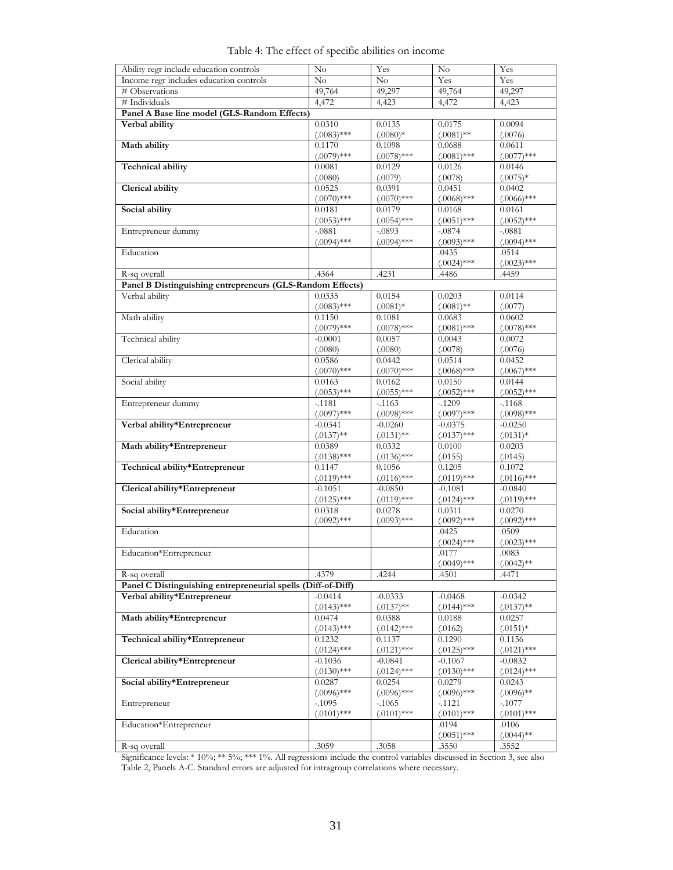| Table 4: The effect of specific abilities on income |  |  |  |  |
|-----------------------------------------------------|--|--|--|--|
|                                                     |  |  |  |  |
|                                                     |  |  |  |  |

| Ability regr include education controls                      | $\rm No$                  | Yes                       | No                        | Yes                      |
|--------------------------------------------------------------|---------------------------|---------------------------|---------------------------|--------------------------|
| Income regr includes education controls                      | No                        | No                        | Yes                       | Yes                      |
| # Observations                                               | 49,764                    | 49,297                    | 49,764                    | 49,297                   |
| # Individuals                                                | 4,472                     | 4,423                     | 4,472                     | 4,423                    |
| Panel A Base line model (GLS-Random Effects)                 |                           |                           |                           |                          |
| Verbal ability                                               | 0.0310                    | 0.0135                    | 0.0175                    | 0.0094                   |
|                                                              | $(.0083)$ ***             | $(.0080)*$                | $(.0081)$ **              | (.0076)                  |
| Math ability                                                 | 0.1170                    | 0.1098                    | 0.0688                    | 0.0611                   |
|                                                              | $(.0079)$ ***             | $(.0078)$ ***             | $(.0081)$ ***             | $(.0077)$ ***            |
| <b>Technical ability</b>                                     | 0.0081                    | 0.0129                    | 0.0126                    | 0.0146                   |
|                                                              | (.0080)                   | (.0079)                   | (.0078)                   | $(.0075)*$               |
| <b>Clerical</b> ability                                      | 0.0525                    | 0.0391                    | 0.0451                    | 0.0402                   |
|                                                              | $(.0070)$ ***             | $(.0070)$ ***             | $(.0068)$ ***             | $(.0066)$ ***            |
| Social ability                                               | 0.0181                    | 0.0179                    | 0.0168                    | 0.0161                   |
|                                                              | $(.0053)$ ***             | $(.0054)$ ***             | $(.0051)$ ***             | $(.0052)$ ***            |
| Entrepreneur dummy                                           | $-.0881$<br>$(.0094)$ *** | $-.0893$<br>$(.0094)$ *** | $-.0874$<br>$(.0093)$ *** | $-0881$<br>$(.0094)$ *** |
| Education                                                    |                           |                           | .0435                     | .0514                    |
|                                                              |                           |                           | $(.0024)$ ***             | $(.0023)$ ***            |
| R-sq overall                                                 | .4364                     | .4231                     | .4486                     | .4459                    |
| Panel B Distinguishing entrepreneurs (GLS-Random Effects)    |                           |                           |                           |                          |
| Verbal ability                                               | 0.0335                    | 0.0154                    | 0.0203                    | 0.0114                   |
|                                                              | $(.0083)$ ***             | $(.0081)*$                | $(.0081)$ **              | (.0077)                  |
| Math ability                                                 | 0.1150                    | 0.1081                    | 0.0683                    | 0.0602                   |
|                                                              | $(.0079)$ ***             | $(.0078)$ ***             | $(.0081)$ ***             | $(.0078)$ ***            |
| Technical ability                                            | $-0.0001$                 | 0.0057                    | 0.0043                    | 0.0072                   |
|                                                              | (.0080)                   | (.0080)                   | (.0078)                   | (.0076)                  |
| Clerical ability                                             | 0.0586                    | 0.0442                    | 0.0514                    | 0.0452                   |
|                                                              | $(.0070)$ ***             | $(.0070)$ ***             | $(.0068)$ ***             | $(.0067)$ ***            |
| Social ability                                               | 0.0163                    | 0.0162                    | 0.0150                    | 0.0144                   |
|                                                              | $(.0053)$ ***             | $(.0055)$ ***             | $(.0052)$ ***             | $(.0052)$ ***            |
| Entrepreneur dummy                                           | $-1181$                   | $-1163$                   | $-1209$                   | $-1168$                  |
|                                                              | $(.0097)$ ***             | $(.0098)$ ***             | $(.0097)$ ***             | $(.0098)$ ***            |
| Verbal ability*Entrepreneur                                  | $-0.0341$                 | $-0.0260$                 | $-0.0375$                 | $-0.0250$                |
|                                                              | $(.0137)$ **              | $(.0131)$ **              | $(.0137)$ ***             | $(.0131)*$               |
| Math ability*Entrepreneur                                    | 0.0389                    | 0.0332                    | 0.0100                    | 0.0203                   |
| Technical ability*Entrepreneur                               | $(.0138)$ ***<br>0.1147   | $(.0136)$ ***<br>0.1056   | (.0155)<br>0.1205         | (.0145)<br>0.1072        |
|                                                              | $(.0119)$ ***             | $(.0116)$ ***             | $(.0119)$ ***             | $(.0116)$ ***            |
| Clerical ability*Entrepreneur                                | $-0.1051$                 | $-0.0850$                 | $-0.1081$                 | $-0.0840$                |
|                                                              | $(.0125)$ ***             | $(.0119)$ ***             | $(.0124)$ ***             | $(.0119)$ ***            |
| Social ability*Entrepreneur                                  | 0.0318                    | 0.0278                    | 0.0311                    | 0.0270                   |
|                                                              | $(.0092)$ ***             | $(.0093)$ ***             | $(.0092)$ ***             | $(.0092)$ ***            |
| Education                                                    |                           |                           | .0425                     | .0509                    |
|                                                              |                           |                           | $(.0024)$ ***             | $(.0023)$ ***            |
| Education*Entrepreneur                                       |                           |                           | .0177                     | 0083                     |
|                                                              |                           |                           | $(.0049)$ ***             | $(.0042)$ **             |
| R-sq overall                                                 | .4379                     | .4244                     | .4501                     | .4471                    |
| Panel C Distinguishing entrepreneurial spells (Diff-of-Diff) |                           |                           |                           |                          |
| Verbal ability*Entrepreneur                                  | $-0.0414$                 | $-0.0333$                 | $-0.0468$                 | $-0.0342$                |
|                                                              | $(.0143)$ ***             | $(.0137)$ **              | $(.0144)$ ***             | $(.0137)$ **             |
| Math ability*Entrepreneur                                    | 0.0474                    | 0.0388                    | 0.0188                    | 0.0257                   |
| Technical ability*Entrepreneur                               | $(.0143)$ ***<br>0.1232   | $(.0142)$ ***<br>0.1137   | (.0162)<br>0.1290         | $(.0151)^*$<br>0.1156    |
|                                                              | $(.0124)$ ***             | $(.0121)$ ***             | $(.0125)$ ***             | $(.0121)$ ***            |
| Clerical ability*Entrepreneur                                | $-0.1036$                 | -0.0841                   | $-0.1067$                 | $-0.0832$                |
|                                                              | $(.0130)$ ***             | $(.0124)$ ***             | $(.0130)$ ***             | $(.0124)$ ***            |
| Social ability*Entrepreneur                                  | 0.0287                    | 0.0254                    | 0.0279                    | 0.0243                   |
|                                                              | $(.0096)$ ***             | $(.0096)$ ***             | $(.0096)$ ***             | $(.0096)$ **             |
| Entrepreneur                                                 | $-1095$                   | -.1065                    | -.1121                    | $-1077$                  |
|                                                              | $(.0101)$ ***             | $(.0101)$ ***             | $(.0101)$ ***             | $(.0101)$ ***            |
| Education*Entrepreneur                                       |                           |                           | .0194                     | .0106                    |
|                                                              |                           |                           | $(.0051)$ ***             | $(.0044)$ **             |
| R-sq overall                                                 | .3059                     | .3058                     | .3550                     | .3552                    |

Significance levels: \* 10%; \*\* 5%; \*\*\* 1%. All regressions include the control variables discussed in Section 3, see also Table 2, Panels A-C. Standard errors are adjusted for intragroup correlations where necessary.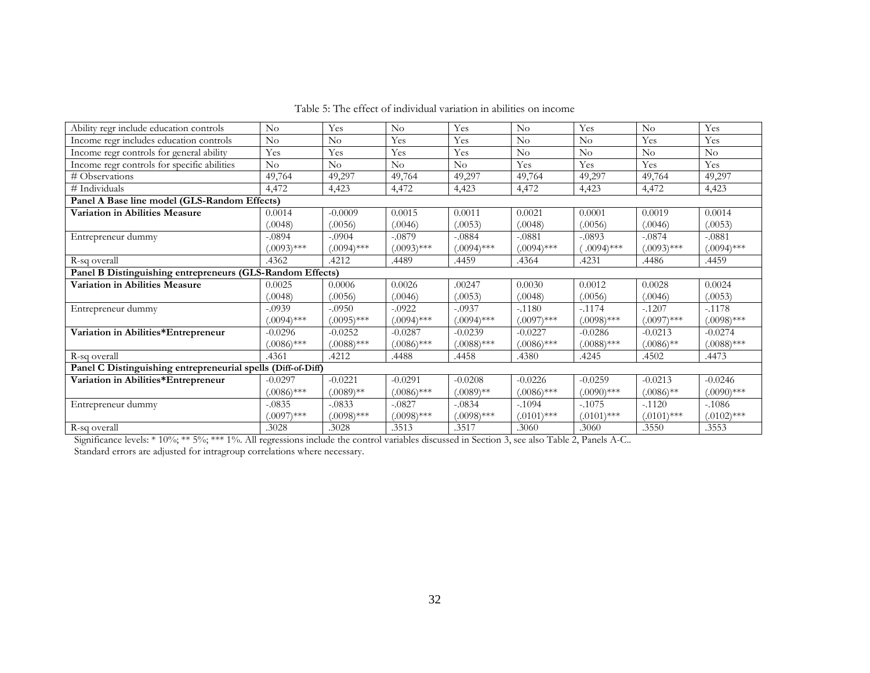|  |  |  |  | Table 5: The effect of individual variation in abilities on income |
|--|--|--|--|--------------------------------------------------------------------|

| Ability regr include education controls                      | $\rm No$      | Yes           | No            | Yes           | No            | Yes           | No            | Yes           |
|--------------------------------------------------------------|---------------|---------------|---------------|---------------|---------------|---------------|---------------|---------------|
| Income regr includes education controls                      | $\rm No$      | No            | Yes           | Yes           | $\rm No$      | No            | Yes           | Yes           |
| Income regr controls for general ability                     | Yes           | Yes           | Yes           | Yes           | No            | No            | No            | No            |
| Income regr controls for specific abilities                  | $\rm No$      | $\rm No$      | No            | $\rm No$      | Yes           | Yes           | Yes           | Yes           |
| # Observations                                               | 49,764        | 49,297        | 49,764        | 49,297        | 49,764        | 49,297        | 49,764        | 49,297        |
| $#$ Individuals                                              | 4,472         | 4,423         | 4,472         | 4,423         | 4,472         | 4,423         | 4,472         | 4,423         |
| Panel A Base line model (GLS-Random Effects)                 |               |               |               |               |               |               |               |               |
| Variation in Abilities Measure                               | 0.0014        | $-0.0009$     | 0.0015        | 0.0011        | 0.0021        | 0.0001        | 0.0019        | 0.0014        |
|                                                              | (.0048)       | (.0056)       | (.0046)       | (.0053)       | (.0048)       | (.0056)       | (.0046)       | (.0053)       |
| Entrepreneur dummy                                           | $-.0894$      | $-.0904$      | $-.0879$      | $-.0884$      | $-.0881$      | $-.0893$      | $-.0874$      | $-.0881$      |
|                                                              | $(.0093)$ *** | $(.0094)$ *** | $(.0093)$ *** | $(.0094)$ *** | $(.0094)$ *** | $(.0094)$ *** | $(.0093)$ *** | $(.0094)$ *** |
| R-sq overall                                                 | .4362         | .4212         | .4489         | .4459         | .4364         | .4231         | .4486         | .4459         |
| Panel B Distinguishing entrepreneurs (GLS-Random Effects)    |               |               |               |               |               |               |               |               |
| <b>Variation in Abilities Measure</b>                        | 0.0025        | 0.0006        | 0.0026        | .00247        | 0.0030        | 0.0012        | 0.0028        | 0.0024        |
|                                                              | (.0048)       | (.0056)       | (.0046)       | (.0053)       | (.0048)       | (.0056)       | (.0046)       | (.0053)       |
| Entrepreneur dummy                                           | $-.0939$      | $-.0950$      | $-.0922$      | $-.0937$      | $-.1180$      | $-.1174$      | $-.1207$      | $-1178$       |
|                                                              | $(.0094)$ *** | $(.0095)$ *** | $(.0094)$ *** | $(.0094)$ *** | $(.0097)$ *** | $(.0098)$ *** | $(.0097)$ *** | $(.0098)$ *** |
| Variation in Abilities*Entrepreneur                          | $-0.0296$     | $-0.0252$     | $-0.0287$     | $-0.0239$     | $-0.0227$     | $-0.0286$     | $-0.0213$     | $-0.0274$     |
|                                                              | $(.0086)$ *** | $(.0088)$ *** | $(.0086)$ *** | $(.0088)$ *** | $(.0086)$ *** | $(.0088)$ *** | $(.0086)$ **  | $(.0088)$ *** |
| R-sq overall                                                 | .4361         | .4212         | .4488         | .4458         | .4380         | .4245         | .4502         | .4473         |
| Panel C Distinguishing entrepreneurial spells (Diff-of-Diff) |               |               |               |               |               |               |               |               |
| Variation in Abilities*Entrepreneur                          | $-0.0297$     | $-0.0221$     | $-0.0291$     | $-0.0208$     | $-0.0226$     | $-0.0259$     | $-0.0213$     | $-0.0246$     |
|                                                              | $(.0086)$ *** | $(.0089)$ **  | $(.0086)$ *** | $(.0089)$ **  | $(.0086)$ *** | $(.0090)$ *** | $(.0086)$ **  | $(.0090)$ *** |
| Entrepreneur dummy                                           | $-.0835$      | $-.0833$      | $-.0827$      | $-.0834$      | $-1094$       | $-.1075$      | $-1120$       | $-1086$       |
|                                                              | $(.0097)$ *** | $(.0098)$ *** | $(.0098)$ *** | $(.0098)$ *** | $(.0101)$ *** | $(.0101)$ *** | $(.0101)$ *** | $(.0102)$ *** |
| R-sq overall                                                 | .3028         | .3028         | .3513         | .3517         | .3060         | .3060         | .3550         | .3553         |

Significance levels: \* 10%; \*\* 5%; \*\*\* 1%. All regressions include the control variables discussed in Section 3, see also Table 2, Panels A-C..

Standard errors are adjusted for intragroup correlations where necessary.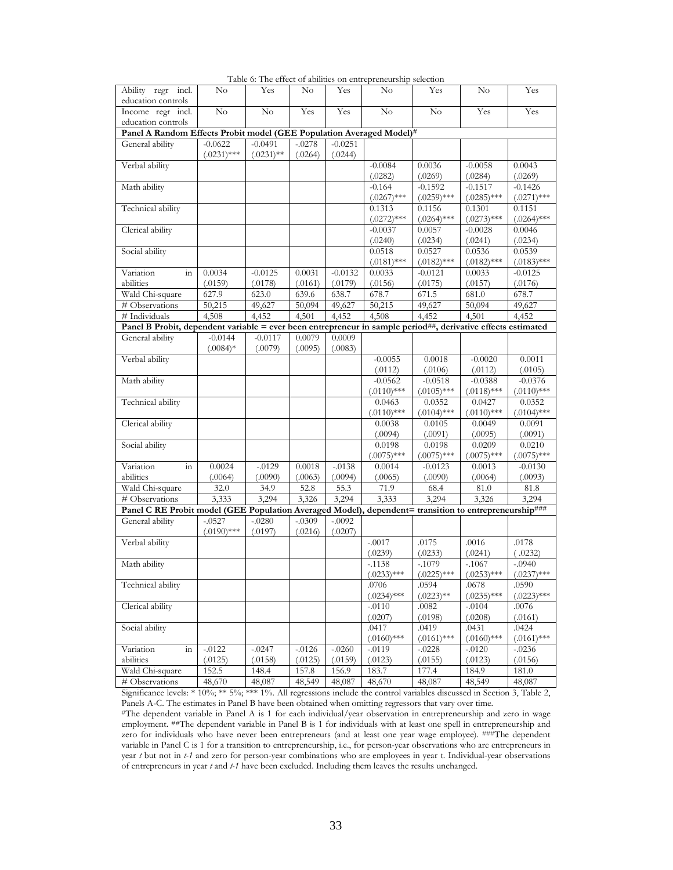| Ability regr incl.                                                                                           | $\rm No$      | Yes          | No        | Yes       | $\rm No$      | Yes           | $\rm No$      | Yes           |
|--------------------------------------------------------------------------------------------------------------|---------------|--------------|-----------|-----------|---------------|---------------|---------------|---------------|
| education controls                                                                                           |               |              |           |           |               |               |               |               |
| Income regr incl.                                                                                            | No            | No           | Yes       | Yes       | No            | No            | Yes           | Yes           |
| education controls                                                                                           |               |              |           |           |               |               |               |               |
| Panel A Random Effects Probit model (GEE Population Averaged Model)#                                         |               |              |           |           |               |               |               |               |
| General ability                                                                                              | $-0.0622$     | $-0.0491$    | $-.0278$  | $-0.0251$ |               |               |               |               |
|                                                                                                              | $(.0231)$ *** | $(.0231)$ ** | (.0264)   | (.0244)   |               |               |               |               |
| Verbal ability                                                                                               |               |              |           |           | $-0.0084$     | 0.0036        | $-0.0058$     | 0.0043        |
|                                                                                                              |               |              |           |           | (.0282)       | (.0269)       | (.0284)       | (.0269)       |
| Math ability                                                                                                 |               |              |           |           | $-0.164$      | $-0.1592$     | $-0.1517$     | $-0.1426$     |
|                                                                                                              |               |              |           |           | $(.0267)$ *** | $(.0259)$ *** | $(.0285)***$  | $(.0271)$ *** |
| Technical ability                                                                                            |               |              |           |           | 0.1313        | 0.1156        | 0.1301        | 0.1151        |
|                                                                                                              |               |              |           |           | $(.0272)$ *** | $(.0264)$ *** | $(.0273)$ *** | $(.0264)$ *** |
| Clerical ability                                                                                             |               |              |           |           | $-0.0037$     | 0.0057        | $-0.0028$     | 0.0046        |
|                                                                                                              |               |              |           |           | (.0240)       | (.0234)       | (.0241)       | (.0234)       |
| Social ability                                                                                               |               |              |           |           | 0.0518        | 0.0527        | 0.0536        | 0.0539        |
|                                                                                                              |               |              |           |           | $(.0181)$ *** | $(.0182)$ *** | $(.0182)$ *** | $(.0183)$ *** |
| Variation<br>in                                                                                              | 0.0034        | $-0.0125$    | 0.0031    | $-0.0132$ | 0.0033        | $-0.0121$     | 0.0033        | $-0.0125$     |
| abilities                                                                                                    | (.0159)       | (.0178)      | (.0161)   | (.0179)   | (.0156)       | (.0175)       | (.0157)       | (.0176)       |
| Wald Chi-square                                                                                              | 627.9         | 623.0        | 639.6     | 638.7     | 678.7         | 671.5         | 681.0         | 678.7         |
| # Observations                                                                                               | 50,215        | 49,627       | 50,094    | 49,627    | 50,215        | 49,627        | 50,094        | 49,627        |
| # Individuals                                                                                                | 4,508         | 4,452        | 4,501     | 4,452     | 4,508         | 4,452         | 4,501         | 4,452         |
| Panel B Probit, dependent variable = ever been entrepreneur in sample period##, derivative effects estimated |               |              |           |           |               |               |               |               |
| General ability                                                                                              | $-0.0144$     | $-0.0117$    | 0.0079    | 0.0009    |               |               |               |               |
|                                                                                                              | $(.0084)*$    | (.0079)      | (.0095)   | (.0083)   |               |               |               |               |
| Verbal ability                                                                                               |               |              |           |           | $-0.0055$     | 0.0018        | $-0.0020$     | 0.0011        |
|                                                                                                              |               |              |           |           | (.0112)       | (.0106)       | (.0112)       | (.0105)       |
| Math ability                                                                                                 |               |              |           |           | $-0.0562$     | $-0.0518$     | $-0.0388$     | $-0.0376$     |
|                                                                                                              |               |              |           |           | $(.0110)$ *** | $(.0105)$ *** | $(.0118)***$  | $(.0110)$ *** |
| Technical ability                                                                                            |               |              |           |           | 0.0463        | 0.0352        | 0.0427        | 0.0352        |
|                                                                                                              |               |              |           |           | $(.0110)$ *** | $(.0104)$ *** | $(.0110)$ *** | $(.0104)$ *** |
| Clerical ability                                                                                             |               |              |           |           | 0.0038        | 0.0105        | 0.0049        | 0.0091        |
|                                                                                                              |               |              |           |           | (.0094)       | (.0091)       | (.0095)       | (.0091)       |
| Social ability                                                                                               |               |              |           |           | 0.0198        | 0.0198        | 0.0209        | 0.0210        |
|                                                                                                              |               |              |           |           | $(.0075)$ *** | $(.0075)$ *** | $(.0075)$ *** | $(.0075)$ *** |
| Variation<br>in                                                                                              | 0.0024        | $-0129$      | 0.0018    | $-0138$   | 0.0014        | $-0.0123$     | 0.0013        | $-0.0130$     |
| abilities                                                                                                    | (.0064)       | (.0090)      | (.0063)   | (.0094)   | (.0065)       | (.0090)       | (.0064)       | (.0093)       |
| Wald Chi-square                                                                                              | 32.0          | 34.9         | 52.8      | 55.3      | 71.9          | 68.4          | 81.0          | 81.8          |
| # Observations                                                                                               | 3,333         | 3,294        | 3,326     | 3,294     | 3,333         | 3,294         | 3,326         | 3,294         |
| Panel C RE Probit model (GEE Population Averaged Model), dependent= transition to entrepreneurship###        |               |              |           |           |               |               |               |               |
| General ability                                                                                              | $-0527$       | $-.0280$     | $-.0309$  | $-.0092$  |               |               |               |               |
|                                                                                                              | $(.0190)$ *** | (.0197)      | (.0216)   | (.0207)   |               |               |               |               |
| Verbal ability                                                                                               |               |              |           |           | $-.0017$      | .0175         | .0016         | .0178         |
|                                                                                                              |               |              |           |           | (.0239)       | (.0233)       | (.0241)       | (.0232)       |
| Math ability                                                                                                 |               |              |           |           | $-1138$       | $-1079$       | $-1067$       | $-.0940$      |
|                                                                                                              |               |              |           |           | $(.0233)***$  | $(.0225)$ *** | $(.0253)$ *** | $(.0237)$ *** |
| Technical ability                                                                                            |               |              |           |           | .0706         | .0594         | .0678         | .0590         |
|                                                                                                              |               |              |           |           | $(.0234)$ *** | $(.0223)$ **  | $(.0235)***$  | $(.0223)$ *** |
| Clerical ability                                                                                             |               |              |           |           | $-.0110$      | .0082         | $-.0104$      | .0076         |
|                                                                                                              |               |              |           |           | (.0207)       | (.0198)       | (.0208)       | (.0161)       |
| Social ability                                                                                               |               |              |           |           | .0417         | .0419         | .0431         | 0424          |
|                                                                                                              |               |              |           |           | $(.0160)$ *** | $(.0161)$ *** | $(.0160)$ *** | $(.0161)$ *** |
| Variation<br>$\operatorname{in}$                                                                             | $-0122$       | $-.0247$     | $-0.0126$ | $-.0260$  | $-.0119$      | $-0228$       | $-0120$       | $-0236$       |
| abilities                                                                                                    | (.0125)       | (.0158)      | (.0125)   | (.0159)   | (.0123)       | (.0155)       | (.0123)       | (.0156)       |
| Wald Chi-square                                                                                              | 152.5         | 148.4        | 157.8     | 156.9     | 183.7         | 177.4         | 184.9         | 181.0         |
| # Observations                                                                                               | 48,670        | 48,087       | 48,549    | 48,087    | 48,670        | 48,087        | 48,549        | 48,087        |

Table 6: The effect of abilities on entrepreneurship selection

Significance levels: \* 10%; \*\* 5%; \*\*\* 1%. All regressions include the control variables discussed in Section 3, Table 2, Panels A-C. The estimates in Panel B have been obtained when omitting regressors that vary over time.

#The dependent variable in Panel A is 1 for each individual/year observation in entrepreneurship and zero in wage employment. ##The dependent variable in Panel B is 1 for individuals with at least one spell in entrepreneurship and zero for individuals who have never been entrepreneurs (and at least one year wage employee). ###The dependent variable in Panel C is 1 for a transition to entrepreneurship, i.e., for person-year observations who are entrepreneurs in year *t* but not in *t-1* and zero for person-year combinations who are employees in year t. Individual-year observations of entrepreneurs in year *t* and *t-1* have been excluded. Including them leaves the results unchanged.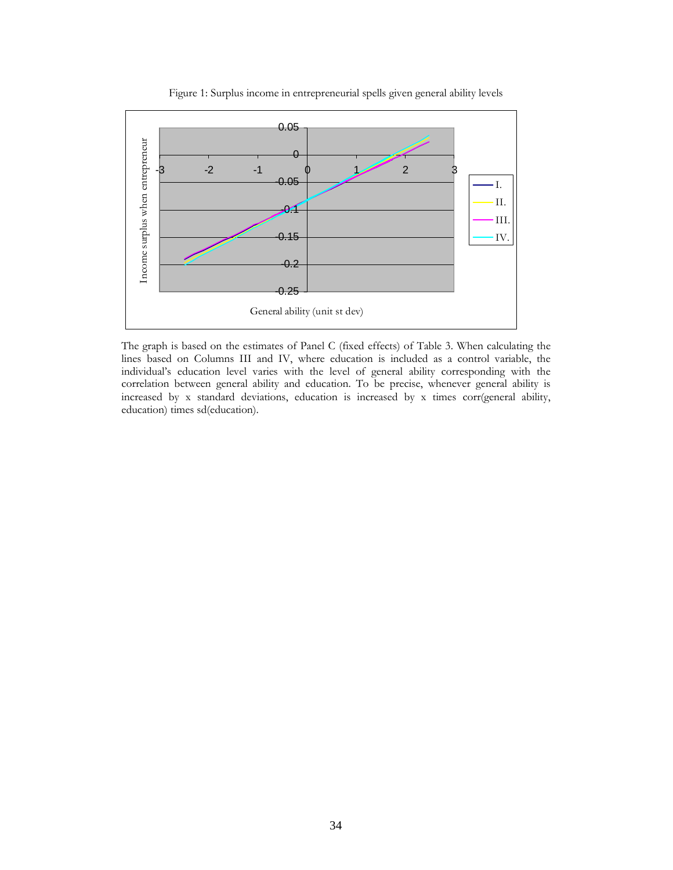

Figure 1: Surplus income in entrepreneurial spells given general ability levels

The graph is based on the estimates of Panel C (fixed effects) of Table 3. When calculating the lines based on Columns III and IV, where education is included as a control variable, the individual's education level varies with the level of general ability corresponding with the correlation between general ability and education. To be precise, whenever general ability is increased by x standard deviations, education is increased by x times corr(general ability, education) times sd(education).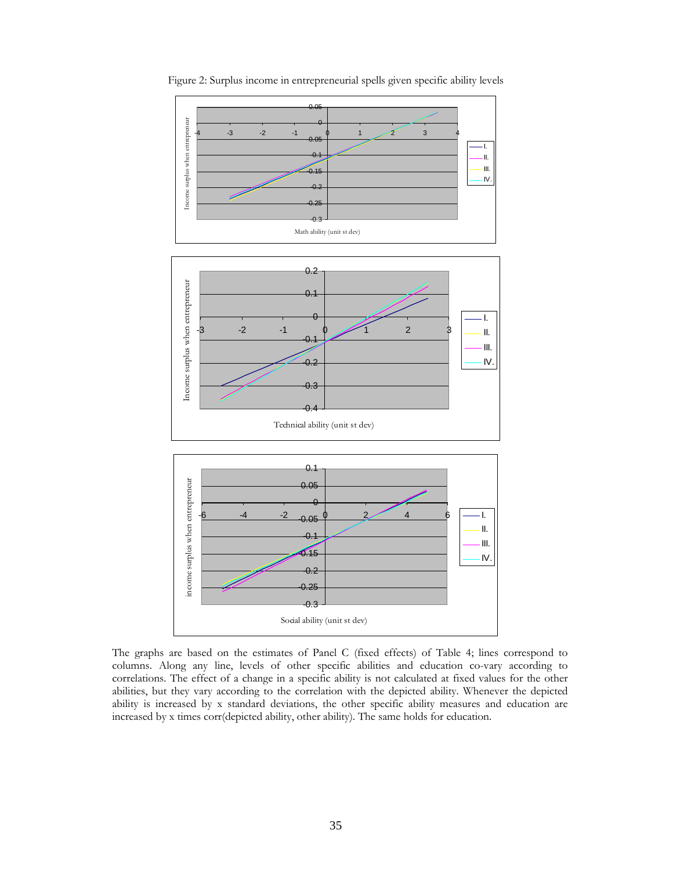

Figure 2: Surplus income in entrepreneurial spells given specific ability levels

The graphs are based on the estimates of Panel C (fixed effects) of Table 4; lines correspond to columns. Along any line, levels of other specific abilities and education co-vary according to correlations. The effect of a change in a specific ability is not calculated at fixed values for the other abilities, but they vary according to the correlation with the depicted ability. Whenever the depicted ability is increased by x standard deviations, the other specific ability measures and education are increased by x times corr(depicted ability, other ability). The same holds for education.